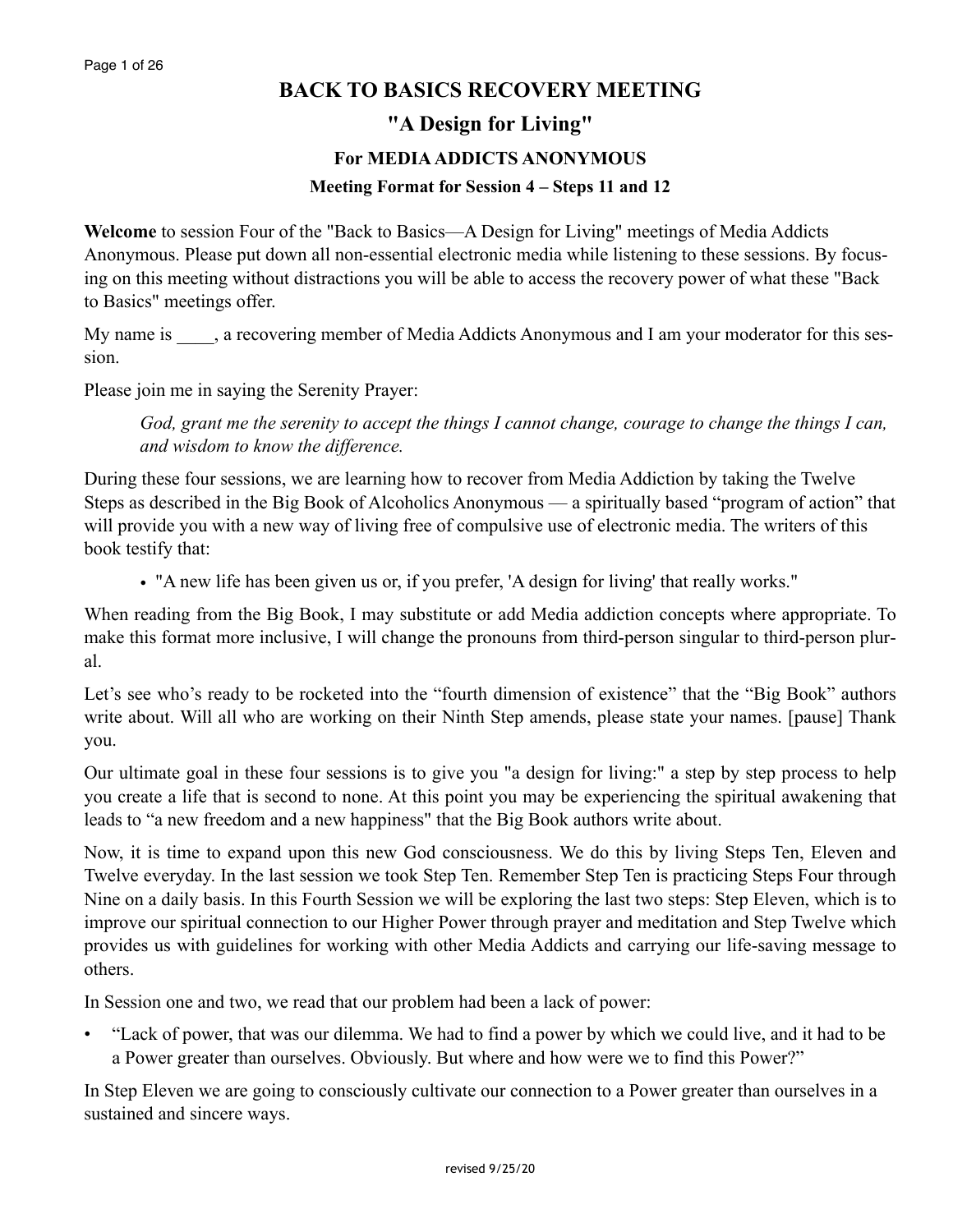# **BACK TO BASICS RECOVERY MEETING**

**"A Design for Living"** 

#### **For MEDIA ADDICTS ANONYMOUS**

#### **Meeting Format for Session 4 – Steps 11 and 12**

**Welcome** to session Four of the "Back to Basics—A Design for Living" meetings of Media Addicts Anonymous. Please put down all non-essential electronic media while listening to these sessions. By focusing on this meeting without distractions you will be able to access the recovery power of what these "Back to Basics" meetings offer.

My name is \_\_\_\_, a recovering member of Media Addicts Anonymous and I am your moderator for this session.

Please join me in saying the Serenity Prayer:

*God, grant me the serenity to accept the things I cannot change, courage to change the things I can, and wisdom to know the difference.*

During these four sessions, we are learning how to recover from Media Addiction by taking the Twelve Steps as described in the Big Book of Alcoholics Anonymous — a spiritually based "program of action" that will provide you with a new way of living free of compulsive use of electronic media. The writers of this book testify that:

• "A new life has been given us or, if you prefer, 'A design for living' that really works."

When reading from the Big Book, I may substitute or add Media addiction concepts where appropriate. To make this format more inclusive, I will change the pronouns from third-person singular to third-person plural.

Let's see who's ready to be rocketed into the "fourth dimension of existence" that the "Big Book" authors write about. Will all who are working on their Ninth Step amends, please state your names. [pause] Thank you.

Our ultimate goal in these four sessions is to give you "a design for living:" a step by step process to help you create a life that is second to none. At this point you may be experiencing the spiritual awakening that leads to "a new freedom and a new happiness" that the Big Book authors write about.

Now, it is time to expand upon this new God consciousness. We do this by living Steps Ten, Eleven and Twelve everyday. In the last session we took Step Ten. Remember Step Ten is practicing Steps Four through Nine on a daily basis. In this Fourth Session we will be exploring the last two steps: Step Eleven, which is to improve our spiritual connection to our Higher Power through prayer and meditation and Step Twelve which provides us with guidelines for working with other Media Addicts and carrying our life-saving message to others.

In Session one and two, we read that our problem had been a lack of power:

• "Lack of power, that was our dilemma. We had to find a power by which we could live, and it had to be a Power greater than ourselves. Obviously. But where and how were we to find this Power?"

In Step Eleven we are going to consciously cultivate our connection to a Power greater than ourselves in a sustained and sincere ways.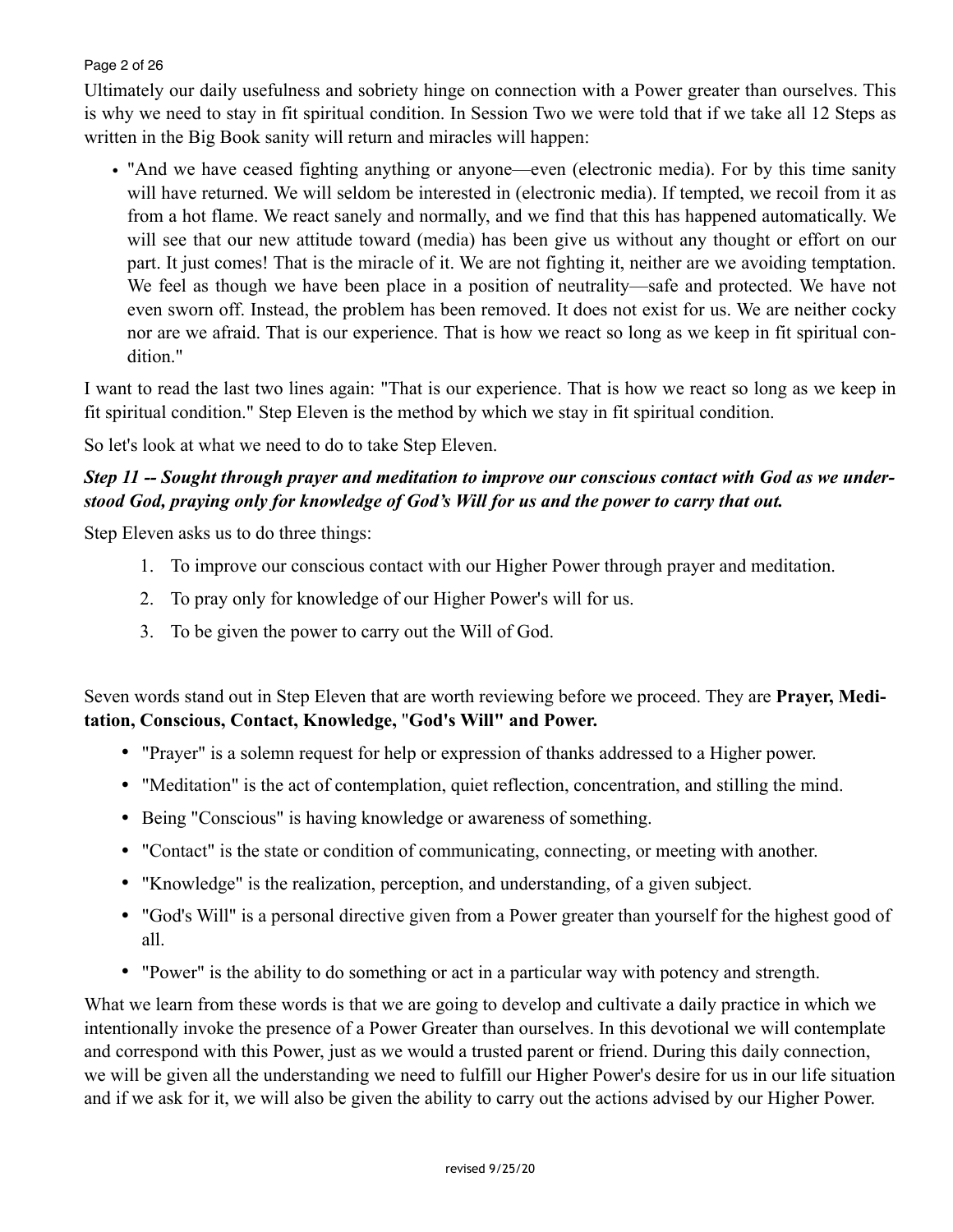### Page 2 of 26

Ultimately our daily usefulness and sobriety hinge on connection with a Power greater than ourselves. This is why we need to stay in fit spiritual condition. In Session Two we were told that if we take all 12 Steps as written in the Big Book sanity will return and miracles will happen:

• "And we have ceased fighting anything or anyone—even (electronic media). For by this time sanity will have returned. We will seldom be interested in (electronic media). If tempted, we recoil from it as from a hot flame. We react sanely and normally, and we find that this has happened automatically. We will see that our new attitude toward (media) has been give us without any thought or effort on our part. It just comes! That is the miracle of it. We are not fighting it, neither are we avoiding temptation. We feel as though we have been place in a position of neutrality—safe and protected. We have not even sworn off. Instead, the problem has been removed. It does not exist for us. We are neither cocky nor are we afraid. That is our experience. That is how we react so long as we keep in fit spiritual condition."

I want to read the last two lines again: "That is our experience. That is how we react so long as we keep in fit spiritual condition." Step Eleven is the method by which we stay in fit spiritual condition.

So let's look at what we need to do to take Step Eleven.

# *Step 11 -- Sought through prayer and meditation to improve our conscious contact with God as we understood God, praying only for knowledge of God's Will for us and the power to carry that out.*

Step Eleven asks us to do three things:

- 1. To improve our conscious contact with our Higher Power through prayer and meditation.
- 2. To pray only for knowledge of our Higher Power's will for us.
- 3. To be given the power to carry out the Will of God.

Seven words stand out in Step Eleven that are worth reviewing before we proceed. They are **Prayer, Meditation, Conscious, Contact, Knowledge,** "**God's Will" and Power.** 

- "Prayer" is a solemn request for help or expression of thanks addressed to a Higher power.
- "Meditation" is the act of contemplation, quiet reflection, concentration, and stilling the mind.
- Being "Conscious" is having knowledge or awareness of something.
- "Contact" is the state or condition of communicating, connecting, or meeting with another.
- "Knowledge" is the realization, perception, and understanding, of a given subject.
- "God's Will" is a personal directive given from a Power greater than yourself for the highest good of all.
- "Power" is the ability to do something or act in a particular way with potency and strength.

What we learn from these words is that we are going to develop and cultivate a daily practice in which we intentionally invoke the presence of a Power Greater than ourselves. In this devotional we will contemplate and correspond with this Power, just as we would a trusted parent or friend. During this daily connection, we will be given all the understanding we need to fulfill our Higher Power's desire for us in our life situation and if we ask for it, we will also be given the ability to carry out the actions advised by our Higher Power.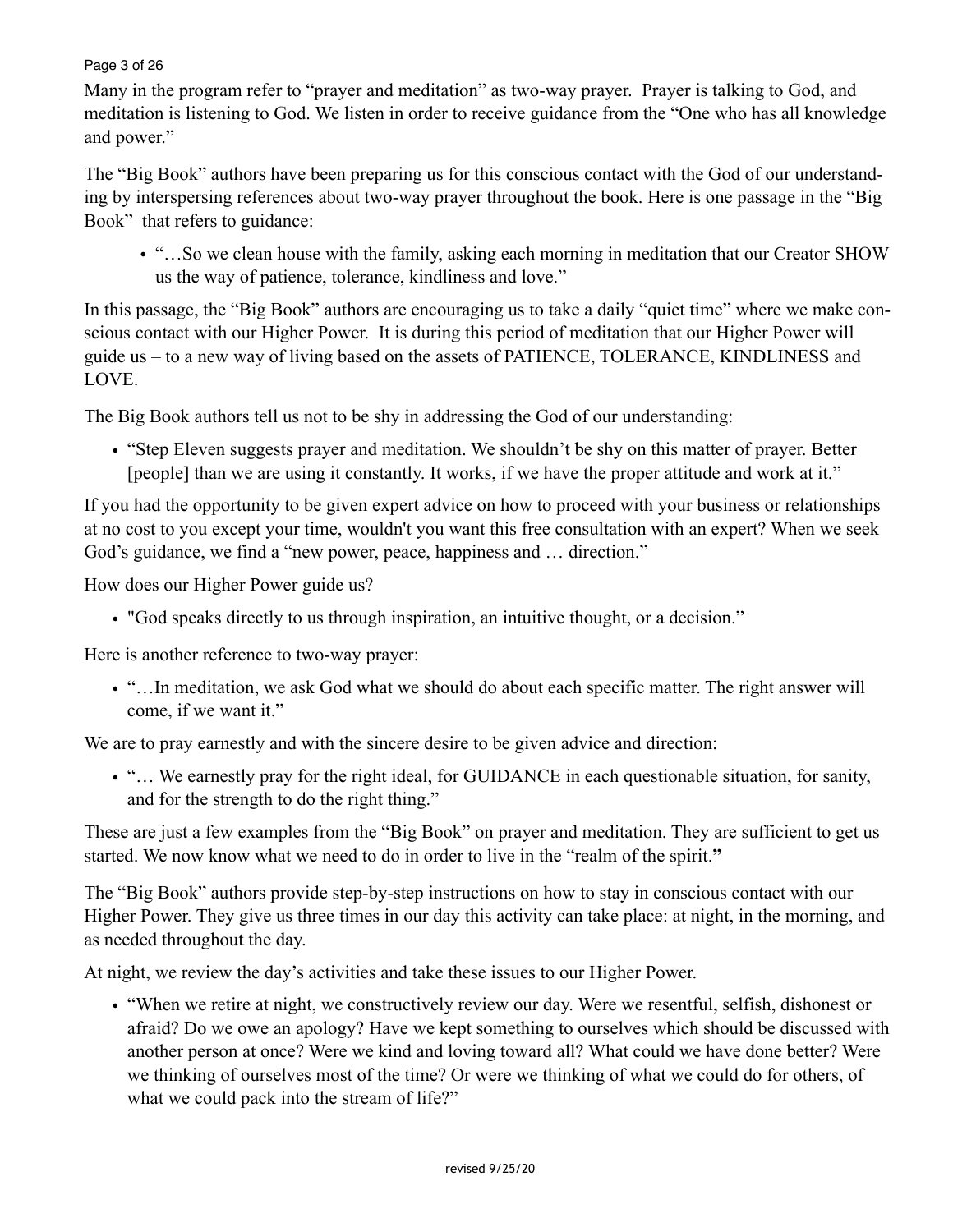#### Page 3 of 26

Many in the program refer to "prayer and meditation" as two-way prayer. Prayer is talking to God, and meditation is listening to God. We listen in order to receive guidance from the "One who has all knowledge and power."

The "Big Book" authors have been preparing us for this conscious contact with the God of our understanding by interspersing references about two-way prayer throughout the book. Here is one passage in the "Big Book" that refers to guidance:

• "…So we clean house with the family, asking each morning in meditation that our Creator SHOW us the way of patience, tolerance, kindliness and love."

In this passage, the "Big Book" authors are encouraging us to take a daily "quiet time" where we make conscious contact with our Higher Power. It is during this period of meditation that our Higher Power will guide us – to a new way of living based on the assets of PATIENCE, TOLERANCE, KINDLINESS and LOVE.

The Big Book authors tell us not to be shy in addressing the God of our understanding:

• "Step Eleven suggests prayer and meditation. We shouldn't be shy on this matter of prayer. Better [people] than we are using it constantly. It works, if we have the proper attitude and work at it."

If you had the opportunity to be given expert advice on how to proceed with your business or relationships at no cost to you except your time, wouldn't you want this free consultation with an expert? When we seek God's guidance, we find a "new power, peace, happiness and … direction."

How does our Higher Power guide us?

• "God speaks directly to us through inspiration, an intuitive thought, or a decision."

Here is another reference to two-way prayer:

• "…In meditation, we ask God what we should do about each specific matter. The right answer will come, if we want it."

We are to pray earnestly and with the sincere desire to be given advice and direction:

• "… We earnestly pray for the right ideal, for GUIDANCE in each questionable situation, for sanity, and for the strength to do the right thing."

These are just a few examples from the "Big Book" on prayer and meditation. They are sufficient to get us started. We now know what we need to do in order to live in the "realm of the spirit.**"**

The "Big Book" authors provide step-by-step instructions on how to stay in conscious contact with our Higher Power. They give us three times in our day this activity can take place: at night, in the morning, and as needed throughout the day.

At night, we review the day's activities and take these issues to our Higher Power.

• "When we retire at night, we constructively review our day. Were we resentful, selfish, dishonest or afraid? Do we owe an apology? Have we kept something to ourselves which should be discussed with another person at once? Were we kind and loving toward all? What could we have done better? Were we thinking of ourselves most of the time? Or were we thinking of what we could do for others, of what we could pack into the stream of life?"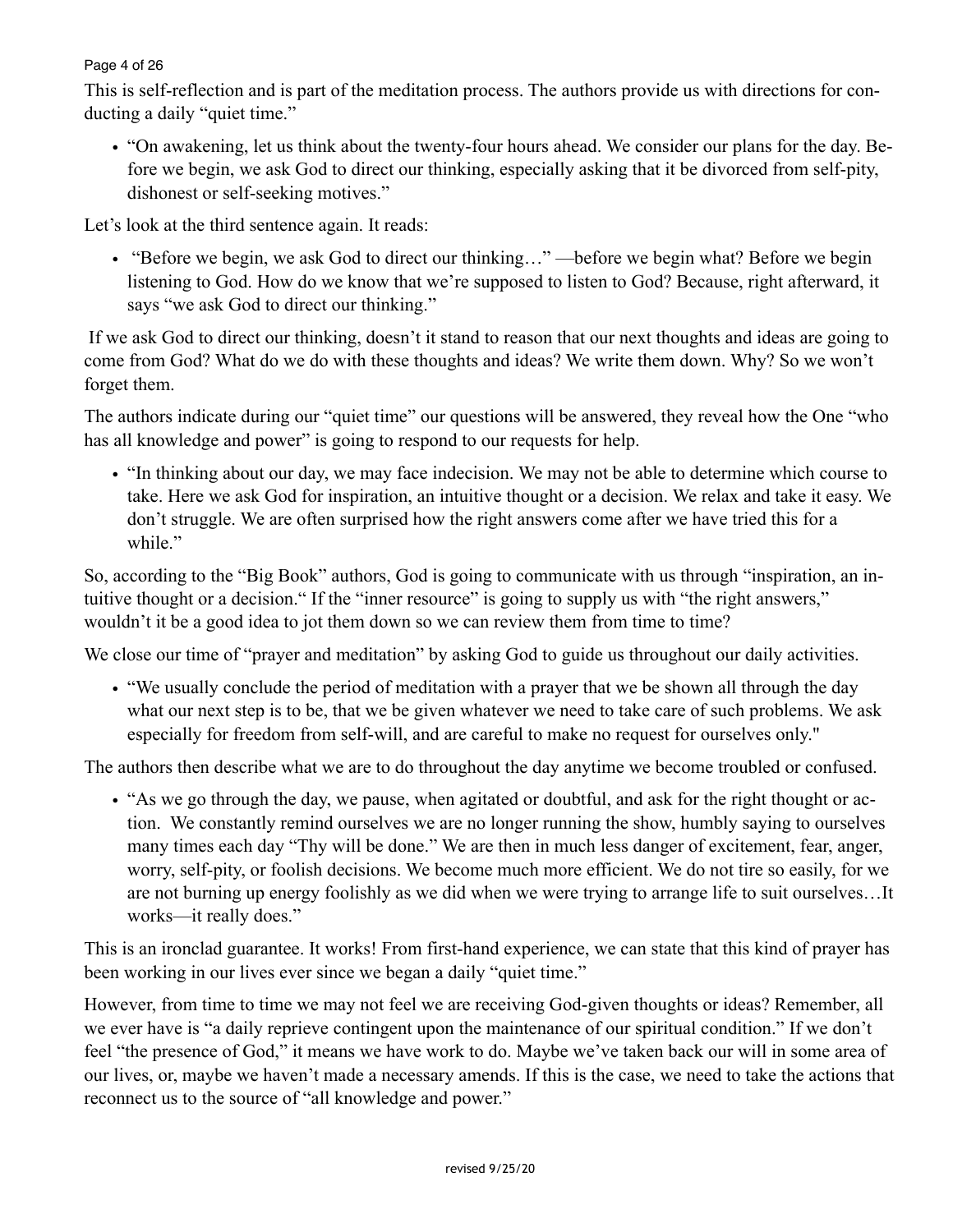## Page 4 of 26

This is self-reflection and is part of the meditation process. The authors provide us with directions for conducting a daily "quiet time."

• "On awakening, let us think about the twenty-four hours ahead. We consider our plans for the day. Before we begin, we ask God to direct our thinking, especially asking that it be divorced from self-pity, dishonest or self-seeking motives."

Let's look at the third sentence again. It reads:

• "Before we begin, we ask God to direct our thinking..."—before we begin what? Before we begin listening to God. How do we know that we're supposed to listen to God? Because, right afterward, it says "we ask God to direct our thinking."

 If we ask God to direct our thinking, doesn't it stand to reason that our next thoughts and ideas are going to come from God? What do we do with these thoughts and ideas? We write them down. Why? So we won't forget them.

The authors indicate during our "quiet time" our questions will be answered, they reveal how the One "who has all knowledge and power" is going to respond to our requests for help.

• "In thinking about our day, we may face indecision. We may not be able to determine which course to take. Here we ask God for inspiration, an intuitive thought or a decision. We relax and take it easy. We don't struggle. We are often surprised how the right answers come after we have tried this for a while."

So, according to the "Big Book" authors, God is going to communicate with us through "inspiration, an intuitive thought or a decision." If the "inner resource" is going to supply us with "the right answers," wouldn't it be a good idea to jot them down so we can review them from time to time?

We close our time of "prayer and meditation" by asking God to guide us throughout our daily activities.

• "We usually conclude the period of meditation with a prayer that we be shown all through the day what our next step is to be, that we be given whatever we need to take care of such problems. We ask especially for freedom from self-will, and are careful to make no request for ourselves only."

The authors then describe what we are to do throughout the day anytime we become troubled or confused.

• "As we go through the day, we pause, when agitated or doubtful, and ask for the right thought or action. We constantly remind ourselves we are no longer running the show, humbly saying to ourselves many times each day "Thy will be done." We are then in much less danger of excitement, fear, anger, worry, self-pity, or foolish decisions. We become much more efficient. We do not tire so easily, for we are not burning up energy foolishly as we did when we were trying to arrange life to suit ourselves…It works—it really does."

This is an ironclad guarantee. It works! From first-hand experience, we can state that this kind of prayer has been working in our lives ever since we began a daily "quiet time."

However, from time to time we may not feel we are receiving God-given thoughts or ideas? Remember, all we ever have is "a daily reprieve contingent upon the maintenance of our spiritual condition." If we don't feel "the presence of God," it means we have work to do. Maybe we've taken back our will in some area of our lives, or, maybe we haven't made a necessary amends. If this is the case, we need to take the actions that reconnect us to the source of "all knowledge and power."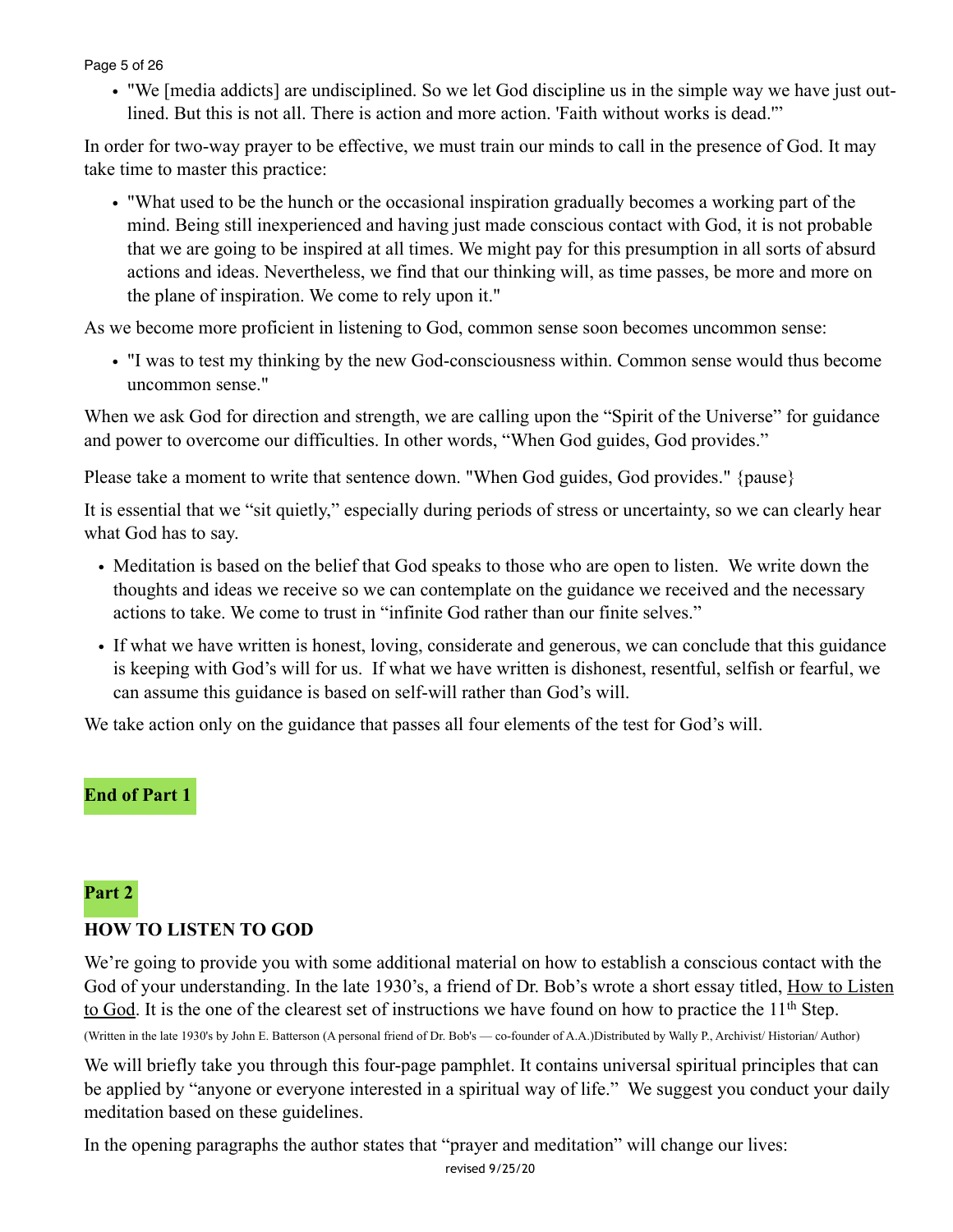#### Page 5 of 26

• "We [media addicts] are undisciplined. So we let God discipline us in the simple way we have just outlined. But this is not all. There is action and more action. 'Faith without works is dead.'"

In order for two-way prayer to be effective, we must train our minds to call in the presence of God. It may take time to master this practice:

• "What used to be the hunch or the occasional inspiration gradually becomes a working part of the mind. Being still inexperienced and having just made conscious contact with God, it is not probable that we are going to be inspired at all times. We might pay for this presumption in all sorts of absurd actions and ideas. Nevertheless, we find that our thinking will, as time passes, be more and more on the plane of inspiration. We come to rely upon it."

As we become more proficient in listening to God, common sense soon becomes uncommon sense:

• "I was to test my thinking by the new God-consciousness within. Common sense would thus become uncommon sense."

When we ask God for direction and strength, we are calling upon the "Spirit of the Universe" for guidance and power to overcome our difficulties. In other words, "When God guides, God provides."

Please take a moment to write that sentence down. "When God guides, God provides." {pause}

It is essential that we "sit quietly," especially during periods of stress or uncertainty, so we can clearly hear what God has to say.

- Meditation is based on the belief that God speaks to those who are open to listen. We write down the thoughts and ideas we receive so we can contemplate on the guidance we received and the necessary actions to take. We come to trust in "infinite God rather than our finite selves."
- If what we have written is honest, loving, considerate and generous, we can conclude that this guidance is keeping with God's will for us. If what we have written is dishonest, resentful, selfish or fearful, we can assume this guidance is based on self-will rather than God's will.

We take action only on the guidance that passes all four elements of the test for God's will.

# **End of Part 1**

#### **Part 2**

# **HOW TO LISTEN TO GOD**

We're going to provide you with some additional material on how to establish a conscious contact with the God of your understanding. In the late 1930's, a friend of Dr. Bob's wrote a short essay titled, How to Listen to God. It is the one of the clearest set of instructions we have found on how to practice the 11th Step.

(Written in the late 1930's by John E. Batterson (A personal friend of Dr. Bob's — co-founder of A.A.)Distributed by Wally P., Archivist/ Historian/ Author)

We will briefly take you through this four-page pamphlet. It contains universal spiritual principles that can be applied by "anyone or everyone interested in a spiritual way of life." We suggest you conduct your daily meditation based on these guidelines.

In the opening paragraphs the author states that "prayer and meditation" will change our lives:

revised 9/25/20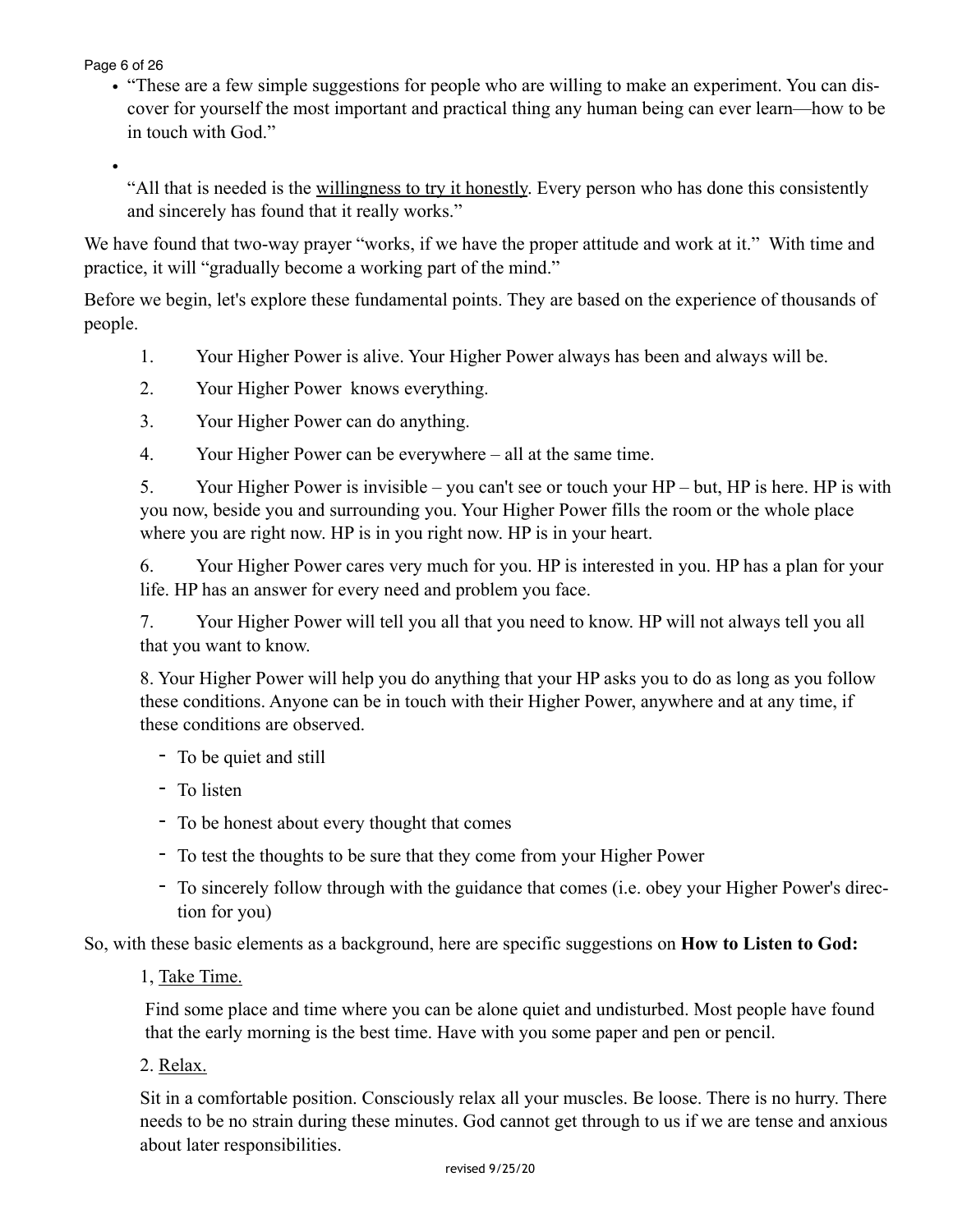Page 6 of 26

•

• "These are a few simple suggestions for people who are willing to make an experiment. You can discover for yourself the most important and practical thing any human being can ever learn—how to be in touch with God."

"All that is needed is the willingness to try it honestly. Every person who has done this consistently and sincerely has found that it really works."

We have found that two-way prayer "works, if we have the proper attitude and work at it." With time and practice, it will "gradually become a working part of the mind."

Before we begin, let's explore these fundamental points. They are based on the experience of thousands of people.

- 1. Your Higher Power is alive. Your Higher Power always has been and always will be.
- 2. Your Higher Power knows everything.
- 3. Your Higher Power can do anything.
- 4. Your Higher Power can be everywhere all at the same time.

5. Your Higher Power is invisible – you can't see or touch your HP – but, HP is here. HP is with you now, beside you and surrounding you. Your Higher Power fills the room or the whole place where you are right now. HP is in you right now. HP is in your heart.

6. Your Higher Power cares very much for you. HP is interested in you. HP has a plan for your life. HP has an answer for every need and problem you face.

7. Your Higher Power will tell you all that you need to know. HP will not always tell you all that you want to know.

8. Your Higher Power will help you do anything that your HP asks you to do as long as you follow these conditions. Anyone can be in touch with their Higher Power, anywhere and at any time, if these conditions are observed.

- To be quiet and still
- To listen
- To be honest about every thought that comes
- To test the thoughts to be sure that they come from your Higher Power
- To sincerely follow through with the guidance that comes (i.e. obey your Higher Power's direction for you)

So, with these basic elements as a background, here are specific suggestions on **How to Listen to God:**

1, Take Time.

Find some place and time where you can be alone quiet and undisturbed. Most people have found that the early morning is the best time. Have with you some paper and pen or pencil.

2. Relax.

Sit in a comfortable position. Consciously relax all your muscles. Be loose. There is no hurry. There needs to be no strain during these minutes. God cannot get through to us if we are tense and anxious about later responsibilities.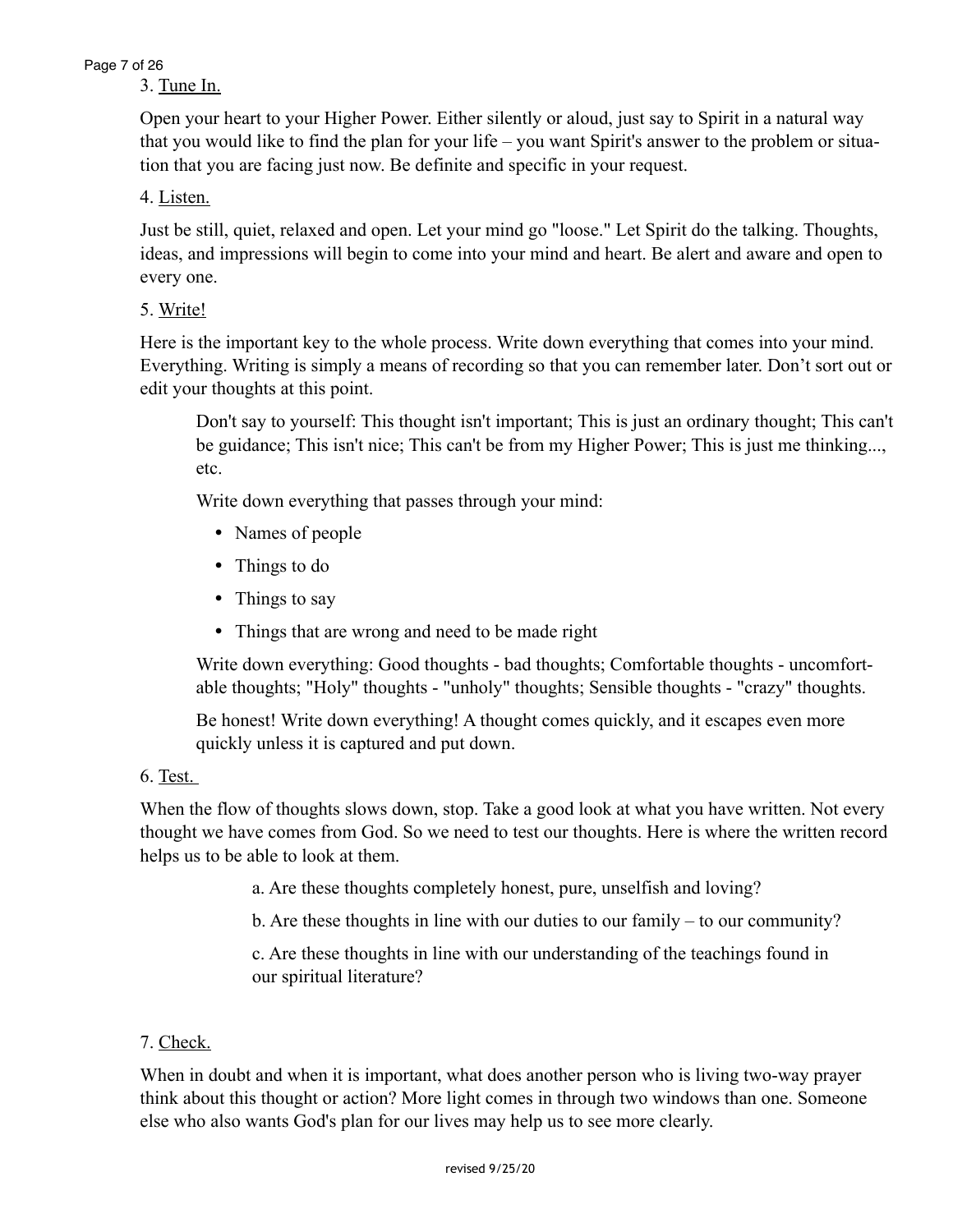### Page 7 of 26

# 3. Tune In.

Open your heart to your Higher Power. Either silently or aloud, just say to Spirit in a natural way that you would like to find the plan for your life – you want Spirit's answer to the problem or situation that you are facing just now. Be definite and specific in your request.

# 4. Listen.

Just be still, quiet, relaxed and open. Let your mind go "loose." Let Spirit do the talking. Thoughts, ideas, and impressions will begin to come into your mind and heart. Be alert and aware and open to every one.

# 5. Write!

Here is the important key to the whole process. Write down everything that comes into your mind. Everything. Writing is simply a means of recording so that you can remember later. Don't sort out or edit your thoughts at this point.

Don't say to yourself: This thought isn't important; This is just an ordinary thought; This can't be guidance; This isn't nice; This can't be from my Higher Power; This is just me thinking..., etc.

Write down everything that passes through your mind:

- Names of people
- Things to do
- Things to say
- Things that are wrong and need to be made right

Write down everything: Good thoughts - bad thoughts; Comfortable thoughts - uncomfortable thoughts; "Holy" thoughts - "unholy" thoughts; Sensible thoughts - "crazy" thoughts.

Be honest! Write down everything! A thought comes quickly, and it escapes even more quickly unless it is captured and put down.

# 6. Test.

When the flow of thoughts slows down, stop. Take a good look at what you have written. Not every thought we have comes from God. So we need to test our thoughts. Here is where the written record helps us to be able to look at them.

a. Are these thoughts completely honest, pure, unselfish and loving?

b. Are these thoughts in line with our duties to our family – to our community?

 c. Are these thoughts in line with our understanding of the teachings found in our spiritual literature?

# 7. Check.

When in doubt and when it is important, what does another person who is living two-way prayer think about this thought or action? More light comes in through two windows than one. Someone else who also wants God's plan for our lives may help us to see more clearly.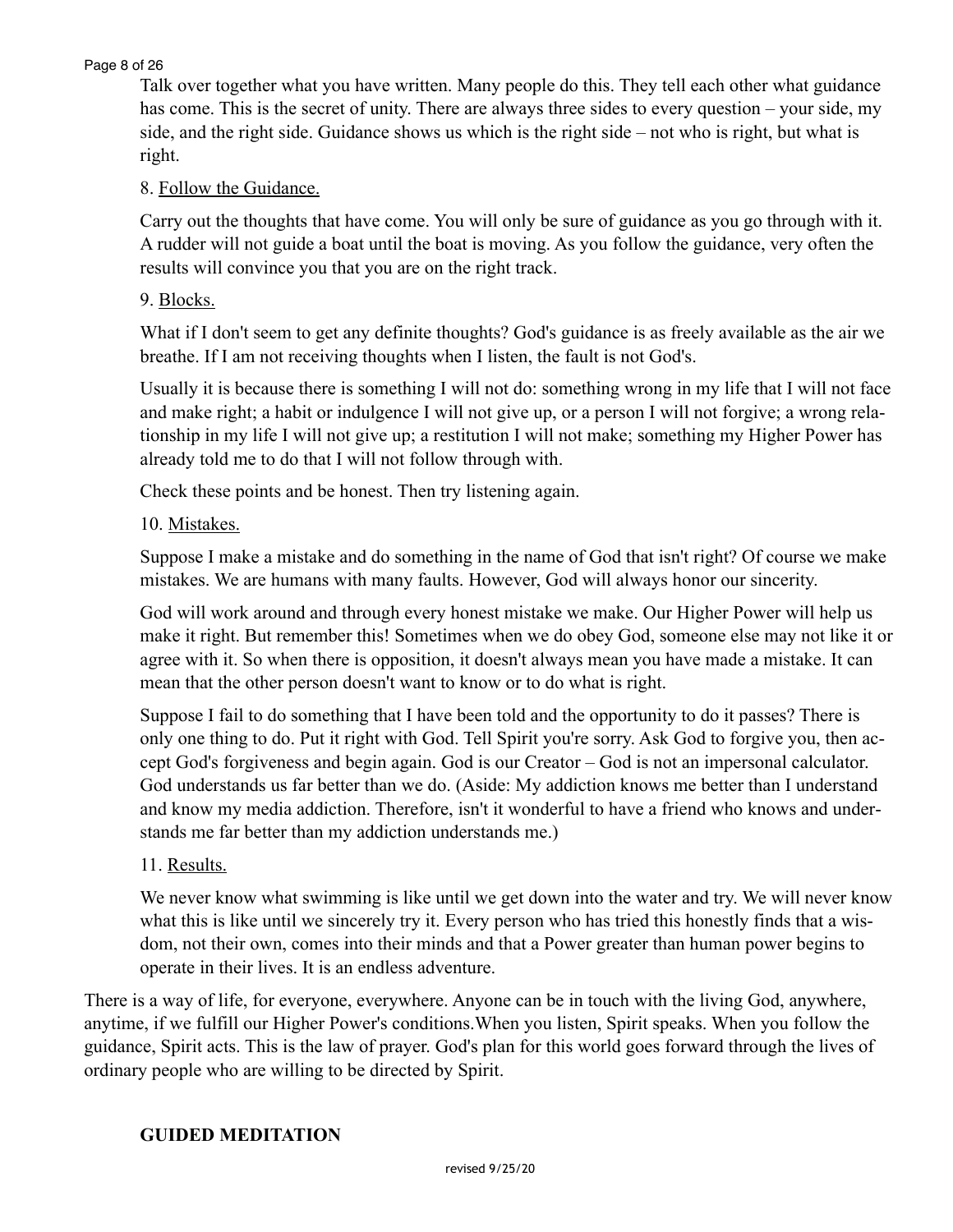#### Page 8 of 26

Talk over together what you have written. Many people do this. They tell each other what guidance has come. This is the secret of unity. There are always three sides to every question – your side, my side, and the right side. Guidance shows us which is the right side – not who is right, but what is right.

# 8. Follow the Guidance.

Carry out the thoughts that have come. You will only be sure of guidance as you go through with it. A rudder will not guide a boat until the boat is moving. As you follow the guidance, very often the results will convince you that you are on the right track.

### 9. Blocks.

What if I don't seem to get any definite thoughts? God's guidance is as freely available as the air we breathe. If I am not receiving thoughts when I listen, the fault is not God's.

Usually it is because there is something I will not do: something wrong in my life that I will not face and make right; a habit or indulgence I will not give up, or a person I will not forgive; a wrong relationship in my life I will not give up; a restitution I will not make; something my Higher Power has already told me to do that I will not follow through with.

Check these points and be honest. Then try listening again.

#### 10. Mistakes.

Suppose I make a mistake and do something in the name of God that isn't right? Of course we make mistakes. We are humans with many faults. However, God will always honor our sincerity.

God will work around and through every honest mistake we make. Our Higher Power will help us make it right. But remember this! Sometimes when we do obey God, someone else may not like it or agree with it. So when there is opposition, it doesn't always mean you have made a mistake. It can mean that the other person doesn't want to know or to do what is right.

Suppose I fail to do something that I have been told and the opportunity to do it passes? There is only one thing to do. Put it right with God. Tell Spirit you're sorry. Ask God to forgive you, then accept God's forgiveness and begin again. God is our Creator – God is not an impersonal calculator. God understands us far better than we do. (Aside: My addiction knows me better than I understand and know my media addiction. Therefore, isn't it wonderful to have a friend who knows and understands me far better than my addiction understands me.)

# 11. Results.

We never know what swimming is like until we get down into the water and try. We will never know what this is like until we sincerely try it. Every person who has tried this honestly finds that a wisdom, not their own, comes into their minds and that a Power greater than human power begins to operate in their lives. It is an endless adventure.

There is a way of life, for everyone, everywhere. Anyone can be in touch with the living God, anywhere, anytime, if we fulfill our Higher Power's conditions.When you listen, Spirit speaks. When you follow the guidance, Spirit acts. This is the law of prayer. God's plan for this world goes forward through the lives of ordinary people who are willing to be directed by Spirit.

#### **GUIDED MEDITATION**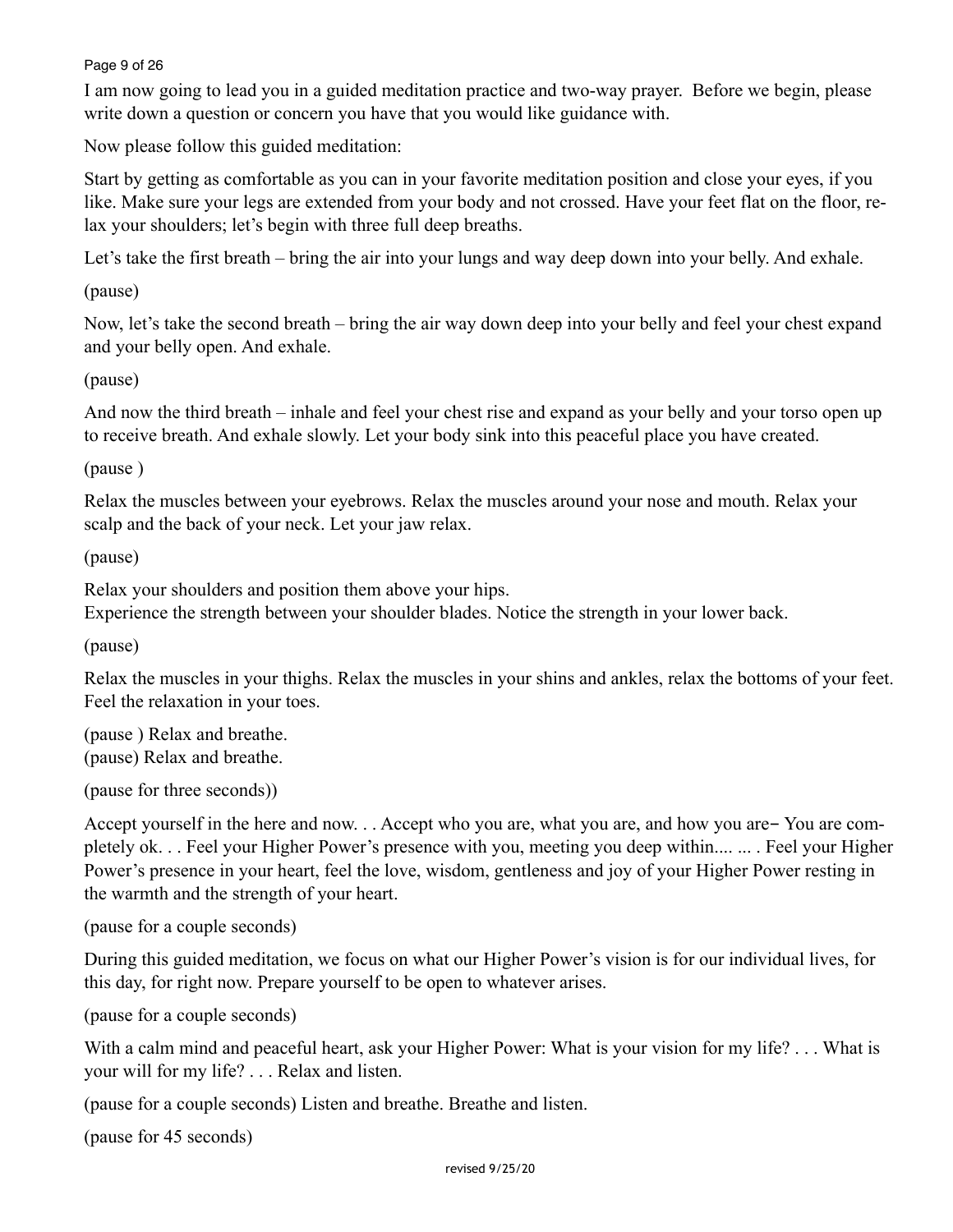#### Page 9 of 26

I am now going to lead you in a guided meditation practice and two-way prayer. Before we begin, please write down a question or concern you have that you would like guidance with.

Now please follow this guided meditation:

Start by getting as comfortable as you can in your favorite meditation position and close your eyes, if you like. Make sure your legs are extended from your body and not crossed. Have your feet flat on the floor, relax your shoulders; let's begin with three full deep breaths.

Let's take the first breath – bring the air into your lungs and way deep down into your belly. And exhale.

(pause)

Now, let's take the second breath – bring the air way down deep into your belly and feel your chest expand and your belly open. And exhale.

#### (pause)

And now the third breath – inhale and feel your chest rise and expand as your belly and your torso open up to receive breath. And exhale slowly. Let your body sink into this peaceful place you have created.

#### (pause )

Relax the muscles between your eyebrows. Relax the muscles around your nose and mouth. Relax your scalp and the back of your neck. Let your jaw relax.

(pause)

Relax your shoulders and position them above your hips.

Experience the strength between your shoulder blades. Notice the strength in your lower back.

(pause)

Relax the muscles in your thighs. Relax the muscles in your shins and ankles, relax the bottoms of your feet. Feel the relaxation in your toes.

(pause ) Relax and breathe. (pause) Relax and breathe.

(pause for three seconds))

Accept yourself in the here and now. . . Accept who you are, what you are, and how you are- You are completely ok. . . Feel your Higher Power's presence with you, meeting you deep within.... ... . Feel your Higher Power's presence in your heart, feel the love, wisdom, gentleness and joy of your Higher Power resting in the warmth and the strength of your heart.

(pause for a couple seconds)

During this guided meditation, we focus on what our Higher Power's vision is for our individual lives, for this day, for right now. Prepare yourself to be open to whatever arises.

(pause for a couple seconds)

With a calm mind and peaceful heart, ask your Higher Power: What is your vision for my life? . . . What is your will for my life? . . . Relax and listen.

(pause for a couple seconds) Listen and breathe. Breathe and listen.

(pause for 45 seconds)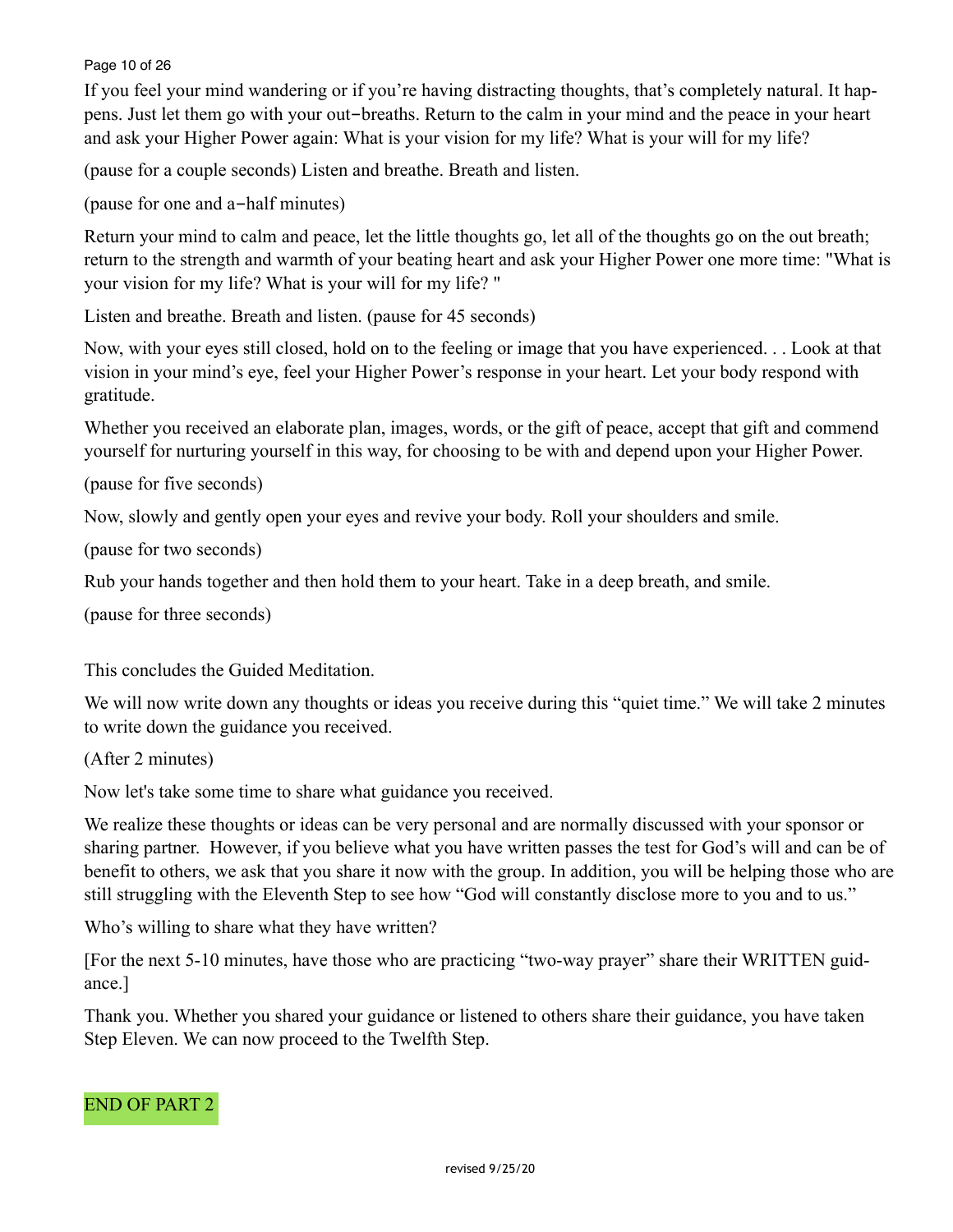#### Page 10 of 26

If you feel your mind wandering or if you're having distracting thoughts, that's completely natural. It happens. Just let them go with your out-breaths. Return to the calm in your mind and the peace in your heart and ask your Higher Power again: What is your vision for my life? What is your will for my life?

(pause for a couple seconds) Listen and breathe. Breath and listen.

(pause for one and a-half minutes)

Return your mind to calm and peace, let the little thoughts go, let all of the thoughts go on the out breath; return to the strength and warmth of your beating heart and ask your Higher Power one more time: "What is your vision for my life? What is your will for my life? "

Listen and breathe. Breath and listen. (pause for 45 seconds)

Now, with your eyes still closed, hold on to the feeling or image that you have experienced. . . Look at that vision in your mind's eye, feel your Higher Power's response in your heart. Let your body respond with gratitude.

Whether you received an elaborate plan, images, words, or the gift of peace, accept that gift and commend yourself for nurturing yourself in this way, for choosing to be with and depend upon your Higher Power.

(pause for five seconds)

Now, slowly and gently open your eyes and revive your body. Roll your shoulders and smile.

(pause for two seconds)

Rub your hands together and then hold them to your heart. Take in a deep breath, and smile.

(pause for three seconds)

This concludes the Guided Meditation.

We will now write down any thoughts or ideas you receive during this "quiet time." We will take 2 minutes to write down the guidance you received.

(After 2 minutes)

Now let's take some time to share what guidance you received.

We realize these thoughts or ideas can be very personal and are normally discussed with your sponsor or sharing partner. However, if you believe what you have written passes the test for God's will and can be of benefit to others, we ask that you share it now with the group. In addition, you will be helping those who are still struggling with the Eleventh Step to see how "God will constantly disclose more to you and to us."

Who's willing to share what they have written?

[For the next 5-10 minutes, have those who are practicing "two-way prayer" share their WRITTEN guidance.]

Thank you. Whether you shared your guidance or listened to others share their guidance, you have taken Step Eleven. We can now proceed to the Twelfth Step.

## END OF PART 2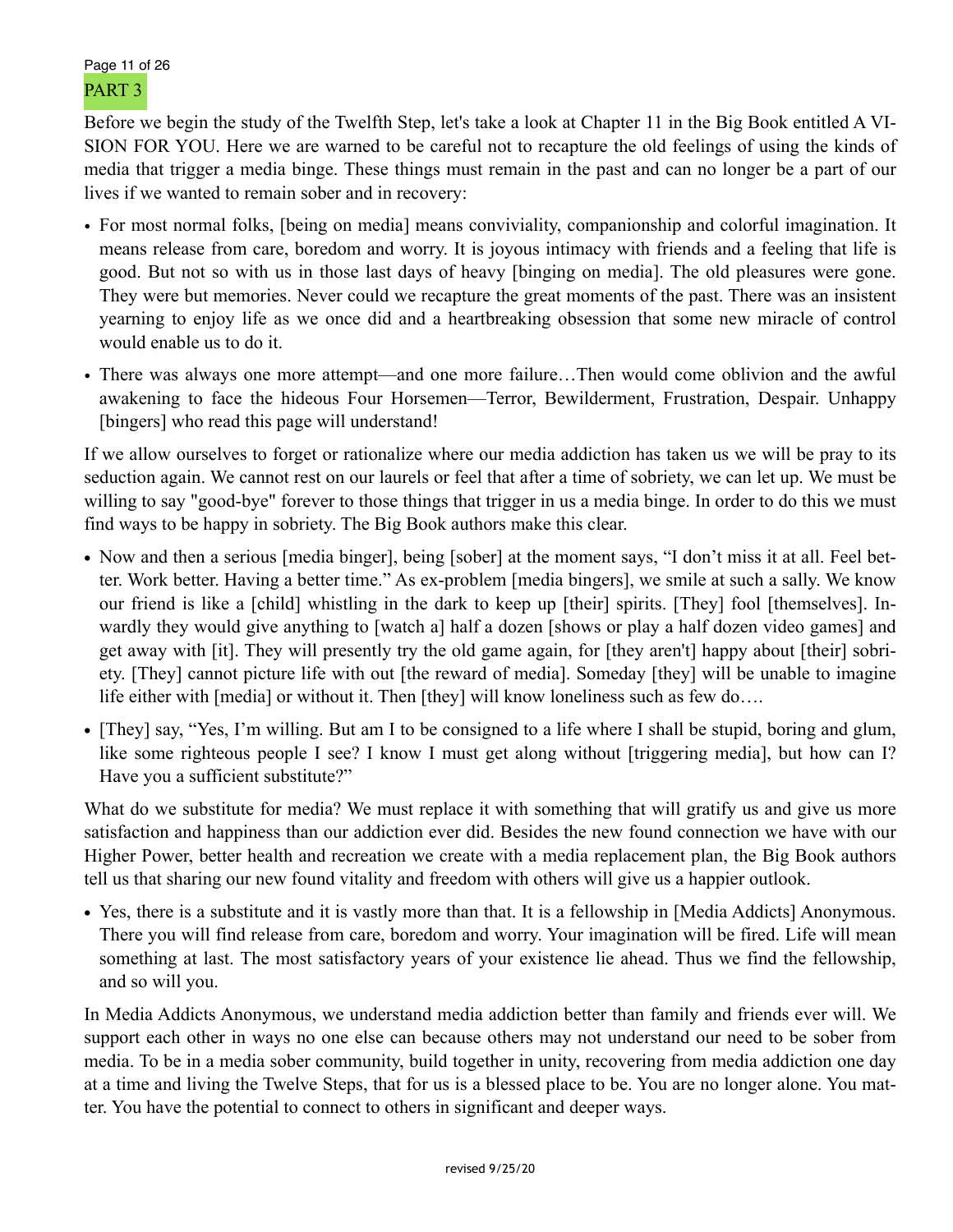# Page 11 of 26 PART 3

Before we begin the study of the Twelfth Step, let's take a look at Chapter 11 in the Big Book entitled A VI-SION FOR YOU. Here we are warned to be careful not to recapture the old feelings of using the kinds of media that trigger a media binge. These things must remain in the past and can no longer be a part of our lives if we wanted to remain sober and in recovery:

- For most normal folks, [being on media] means conviviality, companionship and colorful imagination. It means release from care, boredom and worry. It is joyous intimacy with friends and a feeling that life is good. But not so with us in those last days of heavy [binging on media]. The old pleasures were gone. They were but memories. Never could we recapture the great moments of the past. There was an insistent yearning to enjoy life as we once did and a heartbreaking obsession that some new miracle of control would enable us to do it.
- There was always one more attempt—and one more failure…Then would come oblivion and the awful awakening to face the hideous Four Horsemen—Terror, Bewilderment, Frustration, Despair. Unhappy [bingers] who read this page will understand!

If we allow ourselves to forget or rationalize where our media addiction has taken us we will be pray to its seduction again. We cannot rest on our laurels or feel that after a time of sobriety, we can let up. We must be willing to say "good-bye" forever to those things that trigger in us a media binge. In order to do this we must find ways to be happy in sobriety. The Big Book authors make this clear.

- Now and then a serious [media binger], being [sober] at the moment says, "I don't miss it at all. Feel better. Work better. Having a better time." As ex-problem [media bingers], we smile at such a sally. We know our friend is like a [child] whistling in the dark to keep up [their] spirits. [They] fool [themselves]. Inwardly they would give anything to [watch a] half a dozen [shows or play a half dozen video games] and get away with [it]. They will presently try the old game again, for [they aren't] happy about [their] sobriety. [They] cannot picture life with out [the reward of media]. Someday [they] will be unable to imagine life either with [media] or without it. Then [they] will know loneliness such as few do….
- **•** [They] say, "Yes, I'm willing. But am I to be consigned to a life where I shall be stupid, boring and glum, like some righteous people I see? I know I must get along without [triggering media], but how can I? Have you a sufficient substitute?"

What do we substitute for media? We must replace it with something that will gratify us and give us more satisfaction and happiness than our addiction ever did. Besides the new found connection we have with our Higher Power, better health and recreation we create with a media replacement plan, the Big Book authors tell us that sharing our new found vitality and freedom with others will give us a happier outlook.

• Yes, there is a substitute and it is vastly more than that. It is a fellowship in [Media Addicts] Anonymous. There you will find release from care, boredom and worry. Your imagination will be fired. Life will mean something at last. The most satisfactory years of your existence lie ahead. Thus we find the fellowship, and so will you.

In Media Addicts Anonymous, we understand media addiction better than family and friends ever will. We support each other in ways no one else can because others may not understand our need to be sober from media. To be in a media sober community, build together in unity, recovering from media addiction one day at a time and living the Twelve Steps, that for us is a blessed place to be. You are no longer alone. You matter. You have the potential to connect to others in significant and deeper ways.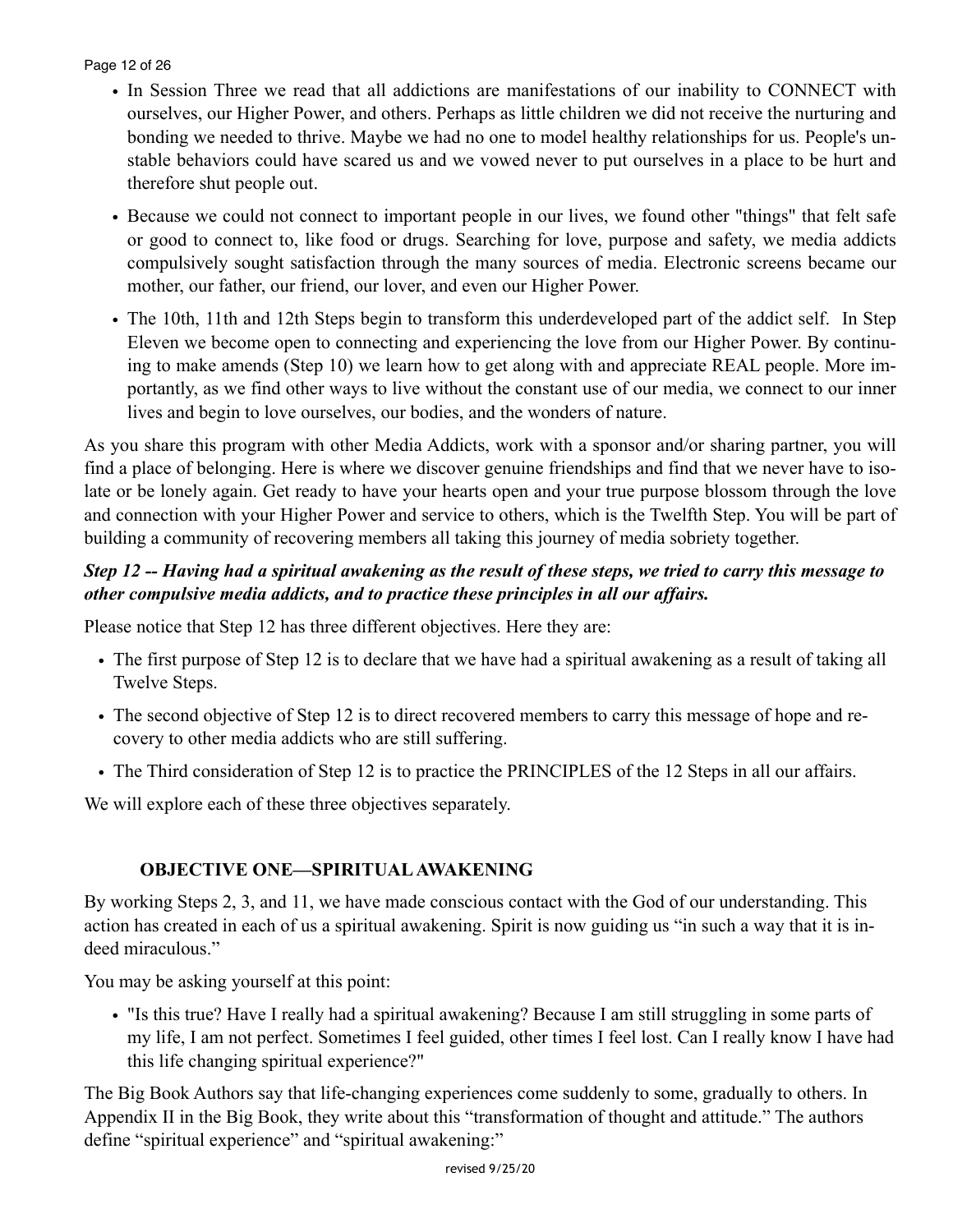Page 12 of 26

- In Session Three we read that all addictions are manifestations of our inability to CONNECT with ourselves, our Higher Power, and others. Perhaps as little children we did not receive the nurturing and bonding we needed to thrive. Maybe we had no one to model healthy relationships for us. People's unstable behaviors could have scared us and we vowed never to put ourselves in a place to be hurt and therefore shut people out.
- Because we could not connect to important people in our lives, we found other "things" that felt safe or good to connect to, like food or drugs. Searching for love, purpose and safety, we media addicts compulsively sought satisfaction through the many sources of media. Electronic screens became our mother, our father, our friend, our lover, and even our Higher Power.
- The 10th, 11th and 12th Steps begin to transform this underdeveloped part of the addict self. In Step Eleven we become open to connecting and experiencing the love from our Higher Power. By continuing to make amends (Step 10) we learn how to get along with and appreciate REAL people. More importantly, as we find other ways to live without the constant use of our media, we connect to our inner lives and begin to love ourselves, our bodies, and the wonders of nature.

As you share this program with other Media Addicts, work with a sponsor and/or sharing partner, you will find a place of belonging. Here is where we discover genuine friendships and find that we never have to isolate or be lonely again. Get ready to have your hearts open and your true purpose blossom through the love and connection with your Higher Power and service to others, which is the Twelfth Step. You will be part of building a community of recovering members all taking this journey of media sobriety together.

# *Step 12 -- Having had a spiritual awakening as the result of these steps, we tried to carry this message to other compulsive media addicts, and to practice these principles in all our affairs.*

Please notice that Step 12 has three different objectives. Here they are:

- The first purpose of Step 12 is to declare that we have had a spiritual awakening as a result of taking all Twelve Steps.
- The second objective of Step 12 is to direct recovered members to carry this message of hope and recovery to other media addicts who are still suffering.
- The Third consideration of Step 12 is to practice the PRINCIPLES of the 12 Steps in all our affairs.

We will explore each of these three objectives separately.

# **OBJECTIVE ONE—SPIRITUAL AWAKENING**

By working Steps 2, 3, and 11, we have made conscious contact with the God of our understanding. This action has created in each of us a spiritual awakening. Spirit is now guiding us "in such a way that it is indeed miraculous."

You may be asking yourself at this point:

• "Is this true? Have I really had a spiritual awakening? Because I am still struggling in some parts of my life, I am not perfect. Sometimes I feel guided, other times I feel lost. Can I really know I have had this life changing spiritual experience?"

The Big Book Authors say that life-changing experiences come suddenly to some, gradually to others. In Appendix II in the Big Book, they write about this "transformation of thought and attitude." The authors define "spiritual experience" and "spiritual awakening:"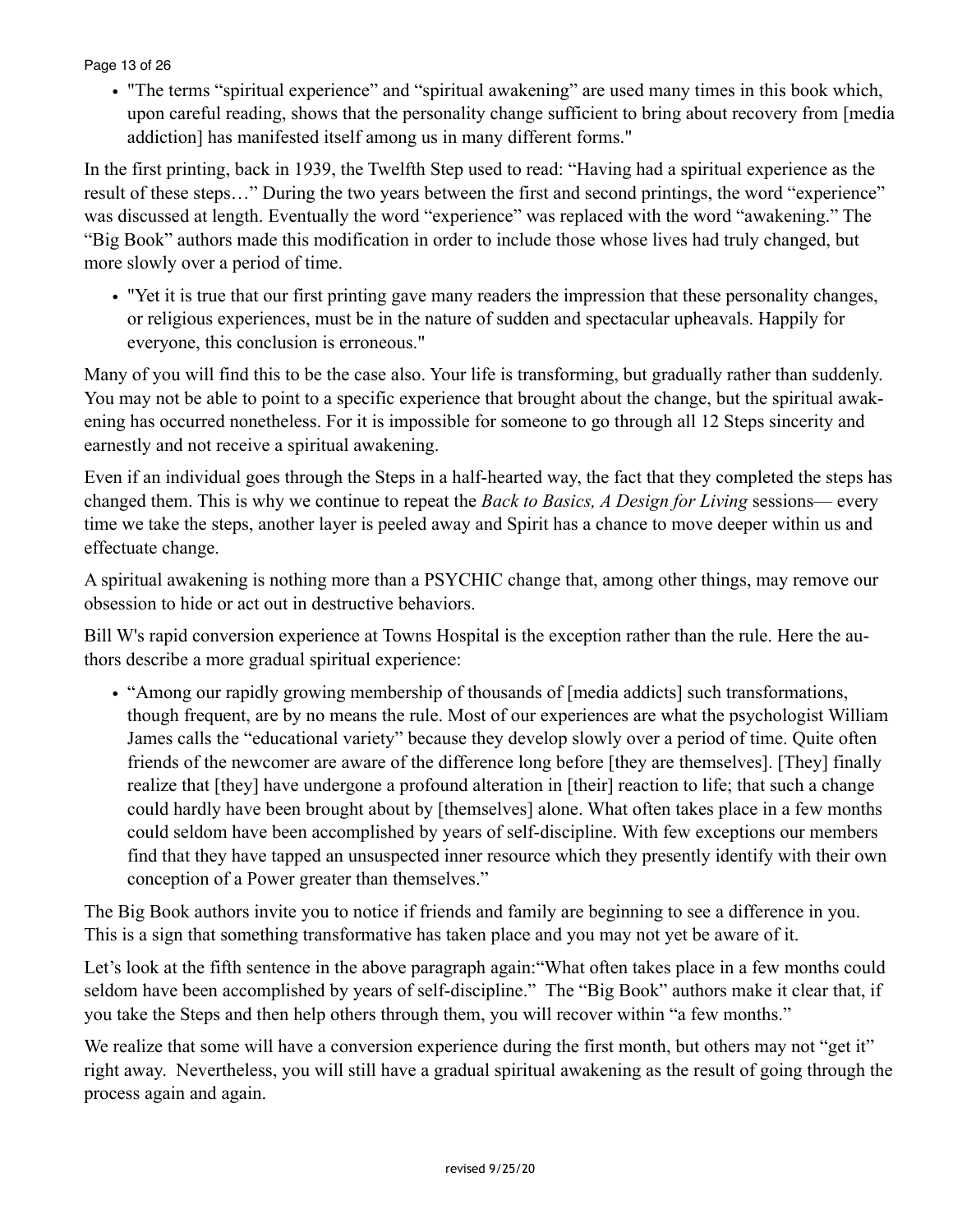Page 13 of 26

• "The terms "spiritual experience" and "spiritual awakening" are used many times in this book which, upon careful reading, shows that the personality change sufficient to bring about recovery from [media addiction] has manifested itself among us in many different forms."

In the first printing, back in 1939, the Twelfth Step used to read: "Having had a spiritual experience as the result of these steps…" During the two years between the first and second printings, the word "experience" was discussed at length. Eventually the word "experience" was replaced with the word "awakening." The "Big Book" authors made this modification in order to include those whose lives had truly changed, but more slowly over a period of time.

• "Yet it is true that our first printing gave many readers the impression that these personality changes, or religious experiences, must be in the nature of sudden and spectacular upheavals. Happily for everyone, this conclusion is erroneous."

Many of you will find this to be the case also. Your life is transforming, but gradually rather than suddenly. You may not be able to point to a specific experience that brought about the change, but the spiritual awakening has occurred nonetheless. For it is impossible for someone to go through all 12 Steps sincerity and earnestly and not receive a spiritual awakening.

Even if an individual goes through the Steps in a half-hearted way, the fact that they completed the steps has changed them. This is why we continue to repeat the *Back to Basics, A Design for Living* sessions— every time we take the steps, another layer is peeled away and Spirit has a chance to move deeper within us and effectuate change.

A spiritual awakening is nothing more than a PSYCHIC change that, among other things, may remove our obsession to hide or act out in destructive behaviors.

Bill W's rapid conversion experience at Towns Hospital is the exception rather than the rule. Here the authors describe a more gradual spiritual experience:

• "Among our rapidly growing membership of thousands of [media addicts] such transformations, though frequent, are by no means the rule. Most of our experiences are what the psychologist William James calls the "educational variety" because they develop slowly over a period of time. Quite often friends of the newcomer are aware of the difference long before [they are themselves]. [They] finally realize that [they] have undergone a profound alteration in [their] reaction to life; that such a change could hardly have been brought about by [themselves] alone. What often takes place in a few months could seldom have been accomplished by years of self-discipline. With few exceptions our members find that they have tapped an unsuspected inner resource which they presently identify with their own conception of a Power greater than themselves."

The Big Book authors invite you to notice if friends and family are beginning to see a difference in you. This is a sign that something transformative has taken place and you may not yet be aware of it.

Let's look at the fifth sentence in the above paragraph again: "What often takes place in a few months could seldom have been accomplished by years of self-discipline." The "Big Book" authors make it clear that, if you take the Steps and then help others through them, you will recover within "a few months."

We realize that some will have a conversion experience during the first month, but others may not "get it" right away. Nevertheless, you will still have a gradual spiritual awakening as the result of going through the process again and again.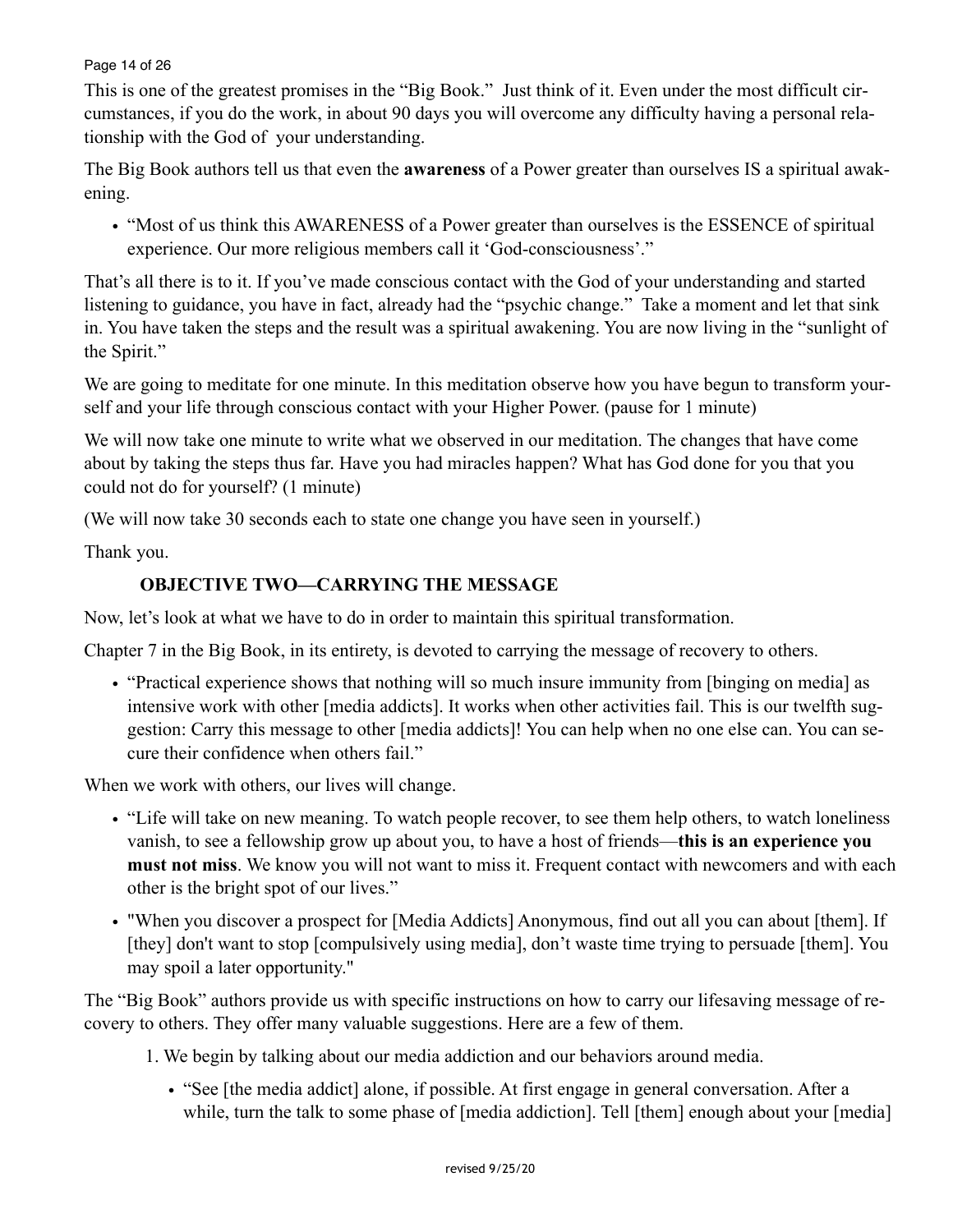#### Page 14 of 26

This is one of the greatest promises in the "Big Book." Just think of it. Even under the most difficult circumstances, if you do the work, in about 90 days you will overcome any difficulty having a personal relationship with the God of your understanding.

The Big Book authors tell us that even the **awareness** of a Power greater than ourselves IS a spiritual awakening.

• "Most of us think this AWARENESS of a Power greater than ourselves is the ESSENCE of spiritual experience. Our more religious members call it 'God-consciousness'."

That's all there is to it. If you've made conscious contact with the God of your understanding and started listening to guidance, you have in fact, already had the "psychic change." Take a moment and let that sink in. You have taken the steps and the result was a spiritual awakening. You are now living in the "sunlight of the Spirit."

We are going to meditate for one minute. In this meditation observe how you have begun to transform yourself and your life through conscious contact with your Higher Power. (pause for 1 minute)

We will now take one minute to write what we observed in our meditation. The changes that have come about by taking the steps thus far. Have you had miracles happen? What has God done for you that you could not do for yourself? (1 minute)

(We will now take 30 seconds each to state one change you have seen in yourself.)

Thank you.

# **OBJECTIVE TWO—CARRYING THE MESSAGE**

Now, let's look at what we have to do in order to maintain this spiritual transformation.

Chapter 7 in the Big Book, in its entirety, is devoted to carrying the message of recovery to others.

• "Practical experience shows that nothing will so much insure immunity from [binging on media] as intensive work with other [media addicts]. It works when other activities fail. This is our twelfth suggestion: Carry this message to other [media addicts]! You can help when no one else can. You can secure their confidence when others fail."

When we work with others, our lives will change.

- "Life will take on new meaning. To watch people recover, to see them help others, to watch loneliness vanish, to see a fellowship grow up about you, to have a host of friends—**this is an experience you must not miss**. We know you will not want to miss it. Frequent contact with newcomers and with each other is the bright spot of our lives."
- "When you discover a prospect for [Media Addicts] Anonymous, find out all you can about [them]. If [they] don't want to stop [compulsively using media], don't waste time trying to persuade [them]. You may spoil a later opportunity."

The "Big Book" authors provide us with specific instructions on how to carry our lifesaving message of recovery to others. They offer many valuable suggestions. Here are a few of them.

- 1. We begin by talking about our media addiction and our behaviors around media.
	- "See [the media addict] alone, if possible. At first engage in general conversation. After a while, turn the talk to some phase of [media addiction]. Tell [them] enough about your [media]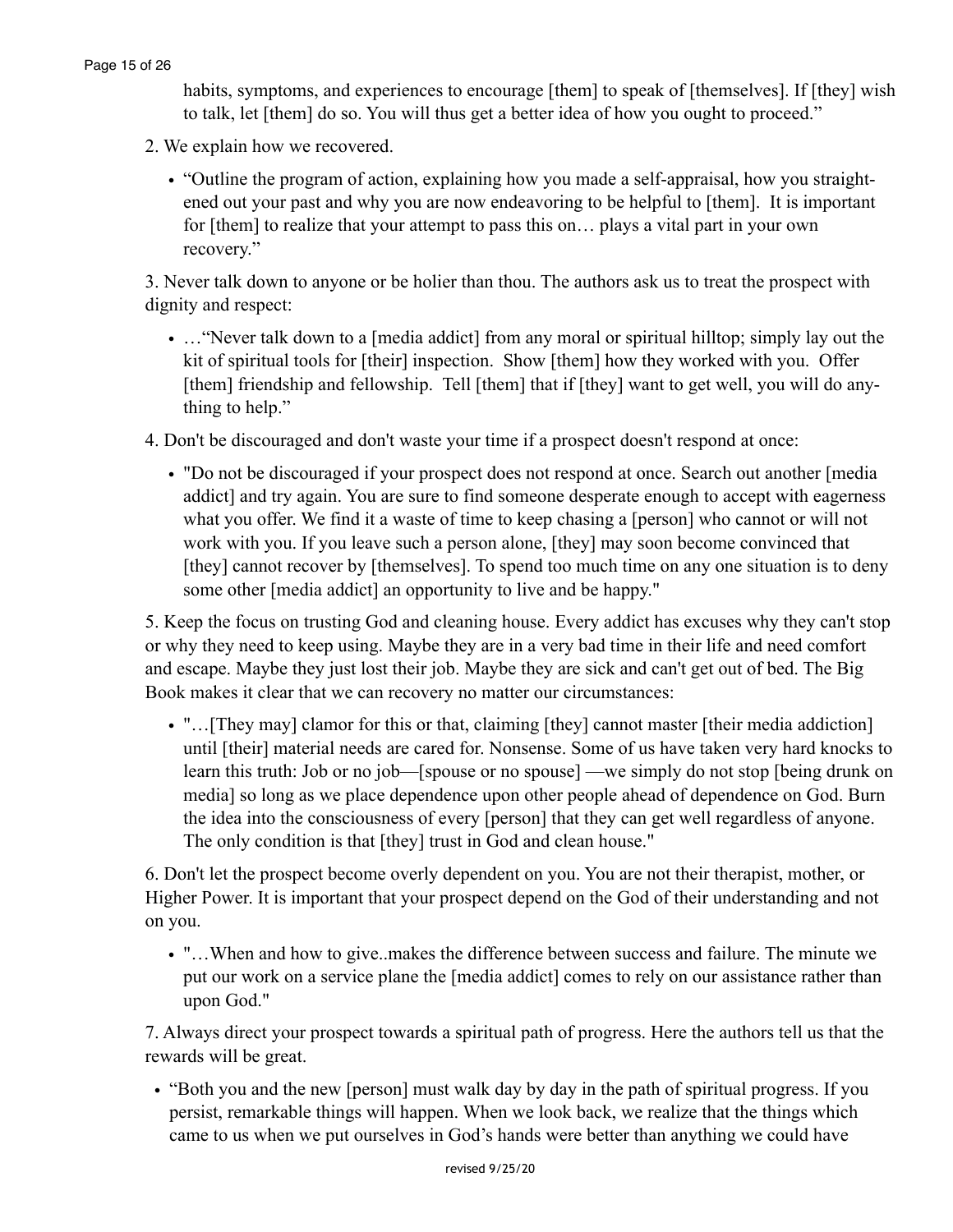habits, symptoms, and experiences to encourage [them] to speak of [themselves]. If [they] wish to talk, let [them] do so. You will thus get a better idea of how you ought to proceed."

- 2. We explain how we recovered.
	- "Outline the program of action, explaining how you made a self-appraisal, how you straightened out your past and why you are now endeavoring to be helpful to [them]. It is important for [them] to realize that your attempt to pass this on… plays a vital part in your own recovery."

3. Never talk down to anyone or be holier than thou. The authors ask us to treat the prospect with dignity and respect:

• ... "Never talk down to a [media addict] from any moral or spiritual hilltop; simply lay out the kit of spiritual tools for [their] inspection. Show [them] how they worked with you. Offer [them] friendship and fellowship. Tell [them] that if [they] want to get well, you will do anything to help."

4. Don't be discouraged and don't waste your time if a prospect doesn't respond at once:

• "Do not be discouraged if your prospect does not respond at once. Search out another [media addict] and try again. You are sure to find someone desperate enough to accept with eagerness what you offer. We find it a waste of time to keep chasing a [person] who cannot or will not work with you. If you leave such a person alone, [they] may soon become convinced that [they] cannot recover by [themselves]. To spend too much time on any one situation is to deny some other [media addict] an opportunity to live and be happy."

5. Keep the focus on trusting God and cleaning house. Every addict has excuses why they can't stop or why they need to keep using. Maybe they are in a very bad time in their life and need comfort and escape. Maybe they just lost their job. Maybe they are sick and can't get out of bed. The Big Book makes it clear that we can recovery no matter our circumstances:

• "...[They may] clamor for this or that, claiming [they] cannot master [their media addiction] until [their] material needs are cared for. Nonsense. Some of us have taken very hard knocks to learn this truth: Job or no job—[spouse or no spouse] —we simply do not stop [being drunk on media] so long as we place dependence upon other people ahead of dependence on God. Burn the idea into the consciousness of every [person] that they can get well regardless of anyone. The only condition is that [they] trust in God and clean house."

6. Don't let the prospect become overly dependent on you. You are not their therapist, mother, or Higher Power. It is important that your prospect depend on the God of their understanding and not on you.

• "…When and how to give..makes the difference between success and failure. The minute we put our work on a service plane the [media addict] comes to rely on our assistance rather than upon God."

7. Always direct your prospect towards a spiritual path of progress. Here the authors tell us that the rewards will be great.

• "Both you and the new [person] must walk day by day in the path of spiritual progress. If you persist, remarkable things will happen. When we look back, we realize that the things which came to us when we put ourselves in God's hands were better than anything we could have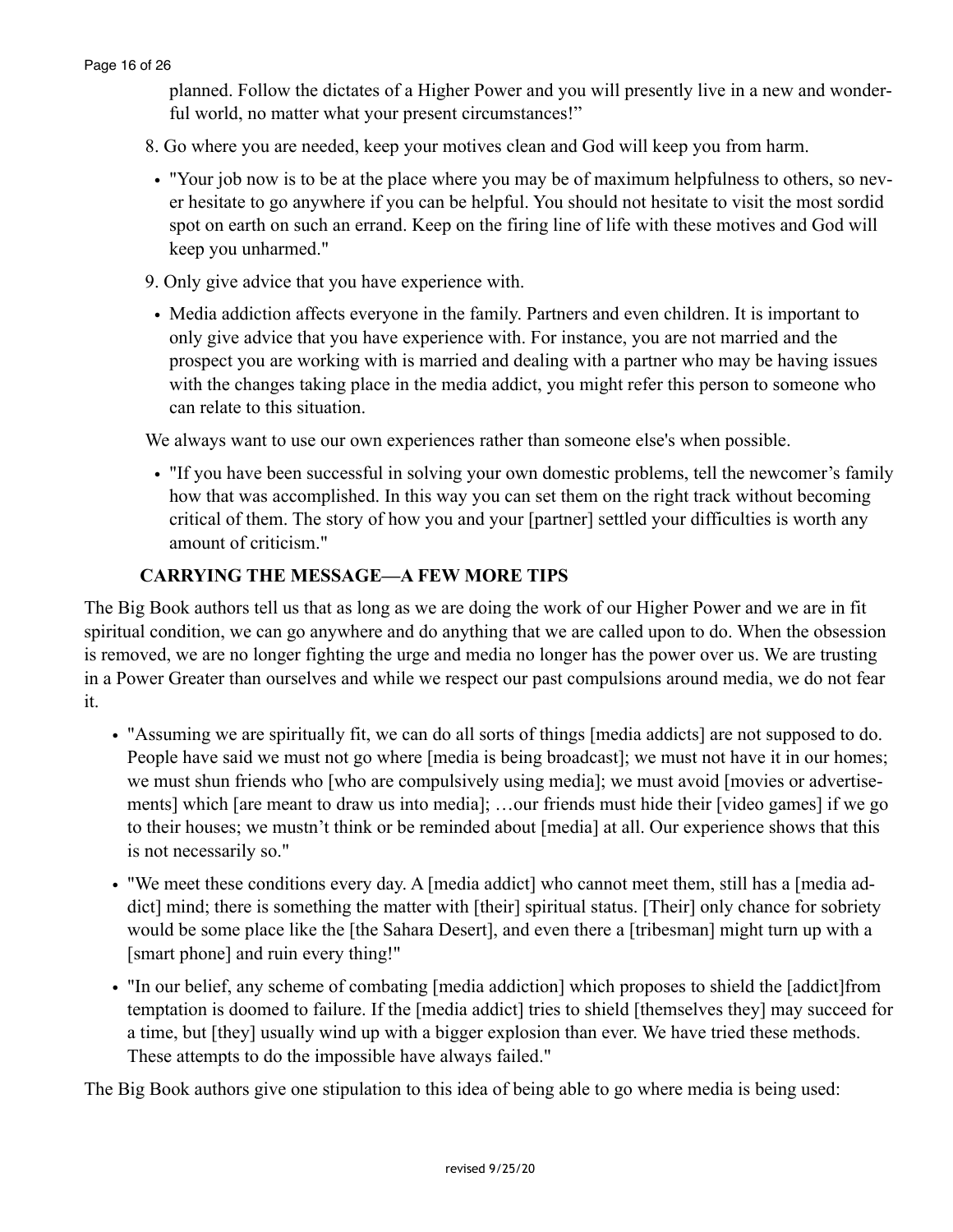planned. Follow the dictates of a Higher Power and you will presently live in a new and wonderful world, no matter what your present circumstances!"

- 8. Go where you are needed, keep your motives clean and God will keep you from harm.
- "Your job now is to be at the place where you may be of maximum helpfulness to others, so never hesitate to go anywhere if you can be helpful. You should not hesitate to visit the most sordid spot on earth on such an errand. Keep on the firing line of life with these motives and God will keep you unharmed."
- 9. Only give advice that you have experience with.
- Media addiction affects everyone in the family. Partners and even children. It is important to only give advice that you have experience with. For instance, you are not married and the prospect you are working with is married and dealing with a partner who may be having issues with the changes taking place in the media addict, you might refer this person to someone who can relate to this situation.

We always want to use our own experiences rather than someone else's when possible.

• "If you have been successful in solving your own domestic problems, tell the newcomer's family how that was accomplished. In this way you can set them on the right track without becoming critical of them. The story of how you and your [partner] settled your difficulties is worth any amount of criticism."

## **CARRYING THE MESSAGE—A FEW MORE TIPS**

The Big Book authors tell us that as long as we are doing the work of our Higher Power and we are in fit spiritual condition, we can go anywhere and do anything that we are called upon to do. When the obsession is removed, we are no longer fighting the urge and media no longer has the power over us. We are trusting in a Power Greater than ourselves and while we respect our past compulsions around media, we do not fear it.

- "Assuming we are spiritually fit, we can do all sorts of things [media addicts] are not supposed to do. People have said we must not go where [media is being broadcast]; we must not have it in our homes; we must shun friends who [who are compulsively using media]; we must avoid [movies or advertisements] which [are meant to draw us into media]; …our friends must hide their [video games] if we go to their houses; we mustn't think or be reminded about [media] at all. Our experience shows that this is not necessarily so."
- "We meet these conditions every day. A [media addict] who cannot meet them, still has a [media addict] mind; there is something the matter with [their] spiritual status. [Their] only chance for sobriety would be some place like the [the Sahara Desert], and even there a [tribesman] might turn up with a [smart phone] and ruin every thing!"
- "In our belief, any scheme of combating [media addiction] which proposes to shield the [addict]from temptation is doomed to failure. If the [media addict] tries to shield [themselves they] may succeed for a time, but [they] usually wind up with a bigger explosion than ever. We have tried these methods. These attempts to do the impossible have always failed."

The Big Book authors give one stipulation to this idea of being able to go where media is being used: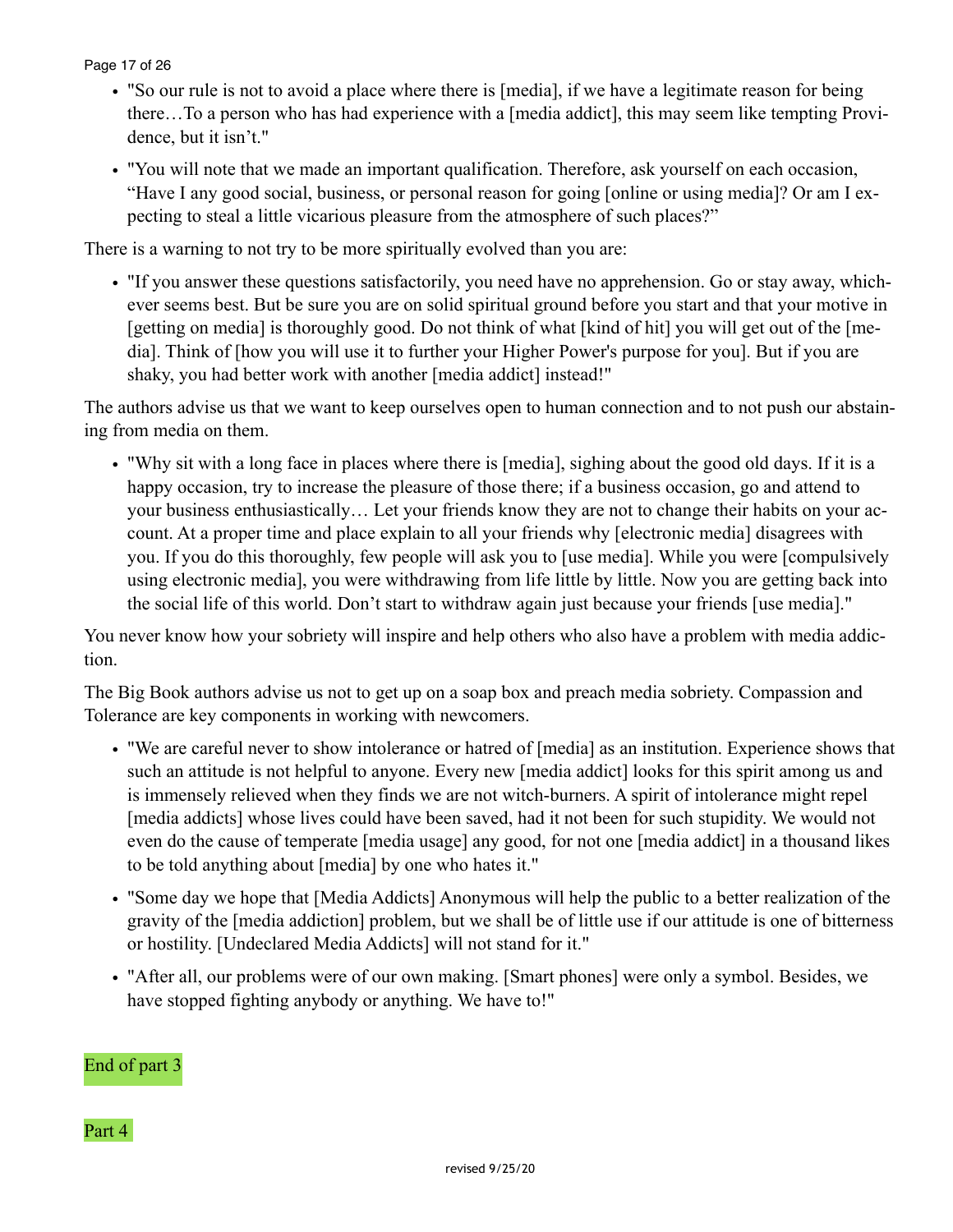#### Page 17 of 26

- "So our rule is not to avoid a place where there is [media], if we have a legitimate reason for being there…To a person who has had experience with a [media addict], this may seem like tempting Providence, but it isn't."
- "You will note that we made an important qualification. Therefore, ask yourself on each occasion, "Have I any good social, business, or personal reason for going [online or using media]? Or am I expecting to steal a little vicarious pleasure from the atmosphere of such places?"

There is a warning to not try to be more spiritually evolved than you are:

• "If you answer these questions satisfactorily, you need have no apprehension. Go or stay away, whichever seems best. But be sure you are on solid spiritual ground before you start and that your motive in [getting on media] is thoroughly good. Do not think of what [kind of hit] you will get out of the [media]. Think of [how you will use it to further your Higher Power's purpose for you]. But if you are shaky, you had better work with another [media addict] instead!"

The authors advise us that we want to keep ourselves open to human connection and to not push our abstaining from media on them.

• "Why sit with a long face in places where there is [media], sighing about the good old days. If it is a happy occasion, try to increase the pleasure of those there; if a business occasion, go and attend to your business enthusiastically… Let your friends know they are not to change their habits on your account. At a proper time and place explain to all your friends why [electronic media] disagrees with you. If you do this thoroughly, few people will ask you to [use media]. While you were [compulsively using electronic media], you were withdrawing from life little by little. Now you are getting back into the social life of this world. Don't start to withdraw again just because your friends [use media]."

You never know how your sobriety will inspire and help others who also have a problem with media addiction.

The Big Book authors advise us not to get up on a soap box and preach media sobriety. Compassion and Tolerance are key components in working with newcomers.

- "We are careful never to show intolerance or hatred of [media] as an institution. Experience shows that such an attitude is not helpful to anyone. Every new [media addict] looks for this spirit among us and is immensely relieved when they finds we are not witch-burners. A spirit of intolerance might repel [media addicts] whose lives could have been saved, had it not been for such stupidity. We would not even do the cause of temperate [media usage] any good, for not one [media addict] in a thousand likes to be told anything about [media] by one who hates it."
- "Some day we hope that [Media Addicts] Anonymous will help the public to a better realization of the gravity of the [media addiction] problem, but we shall be of little use if our attitude is one of bitterness or hostility. [Undeclared Media Addicts] will not stand for it."
- "After all, our problems were of our own making. [Smart phones] were only a symbol. Besides, we have stopped fighting anybody or anything. We have to!"

# End of part 3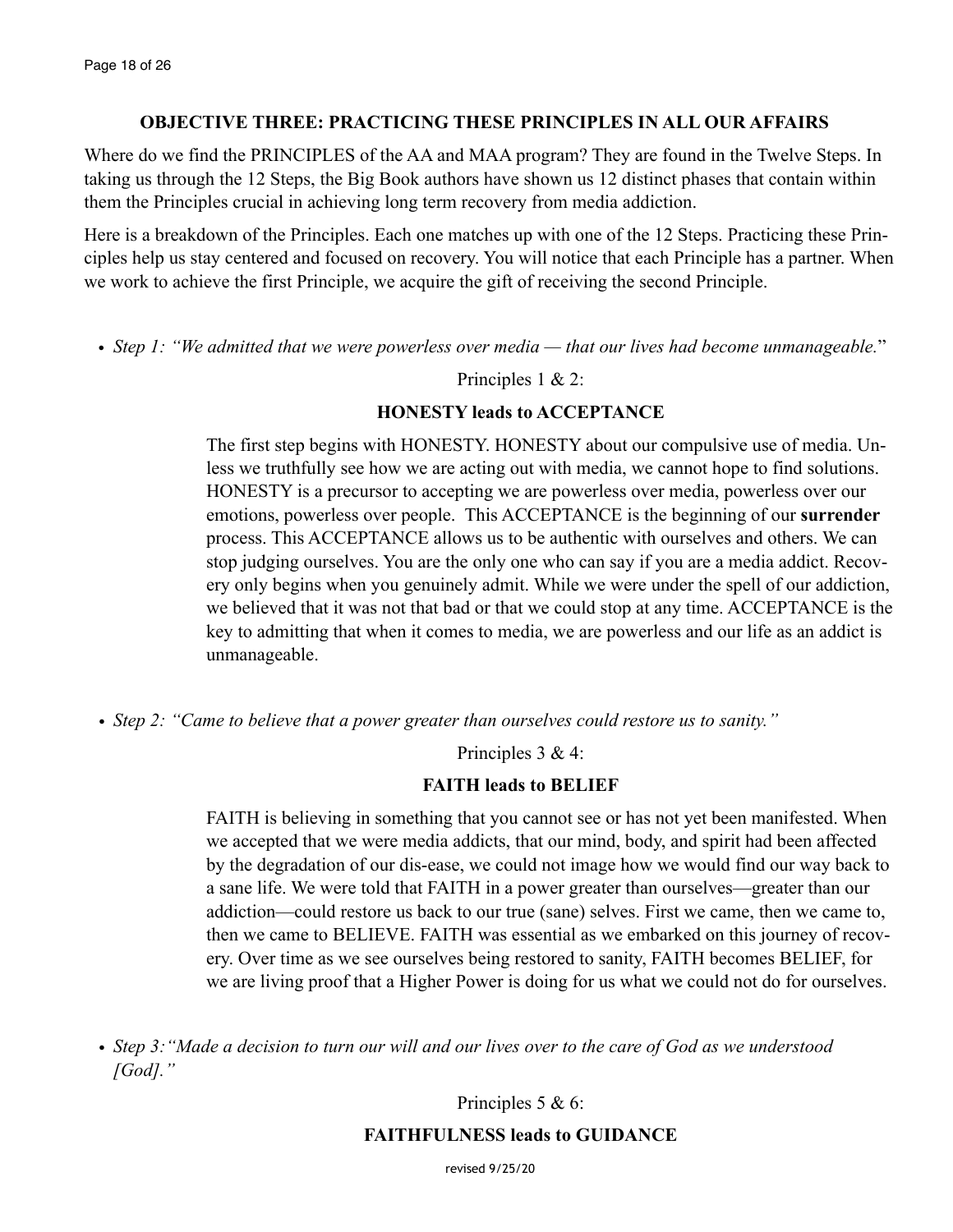# **OBJECTIVE THREE: PRACTICING THESE PRINCIPLES IN ALL OUR AFFAIRS**

Where do we find the PRINCIPLES of the AA and MAA program? They are found in the Twelve Steps. In taking us through the 12 Steps, the Big Book authors have shown us 12 distinct phases that contain within them the Principles crucial in achieving long term recovery from media addiction.

Here is a breakdown of the Principles. Each one matches up with one of the 12 Steps. Practicing these Principles help us stay centered and focused on recovery. You will notice that each Principle has a partner. When we work to achieve the first Principle, we acquire the gift of receiving the second Principle.

• *Step 1: "We admitted that we were powerless over media — that our lives had become unmanageable.*"

# Principles 1 & 2:

# **HONESTY leads to ACCEPTANCE**

The first step begins with HONESTY. HONESTY about our compulsive use of media. Unless we truthfully see how we are acting out with media, we cannot hope to find solutions. HONESTY is a precursor to accepting we are powerless over media, powerless over our emotions, powerless over people. This ACCEPTANCE is the beginning of our **surrender** process. This ACCEPTANCE allows us to be authentic with ourselves and others. We can stop judging ourselves. You are the only one who can say if you are a media addict. Recovery only begins when you genuinely admit. While we were under the spell of our addiction, we believed that it was not that bad or that we could stop at any time. ACCEPTANCE is the key to admitting that when it comes to media, we are powerless and our life as an addict is unmanageable.

*• Step 2: "Came to believe that a power greater than ourselves could restore us to sanity."*

Principles 3 & 4:

# **FAITH leads to BELIEF**

FAITH is believing in something that you cannot see or has not yet been manifested. When we accepted that we were media addicts, that our mind, body, and spirit had been affected by the degradation of our dis-ease, we could not image how we would find our way back to a sane life. We were told that FAITH in a power greater than ourselves—greater than our addiction—could restore us back to our true (sane) selves. First we came, then we came to, then we came to BELIEVE. FAITH was essential as we embarked on this journey of recovery. Over time as we see ourselves being restored to sanity, FAITH becomes BELIEF, for we are living proof that a Higher Power is doing for us what we could not do for ourselves.

Principles 5 & 6:

# **FAITHFULNESS leads to GUIDANCE**

revised 9/25/20

*<sup>•</sup> Step 3:"Made a decision to turn our will and our lives over to the care of God as we understood [God]."*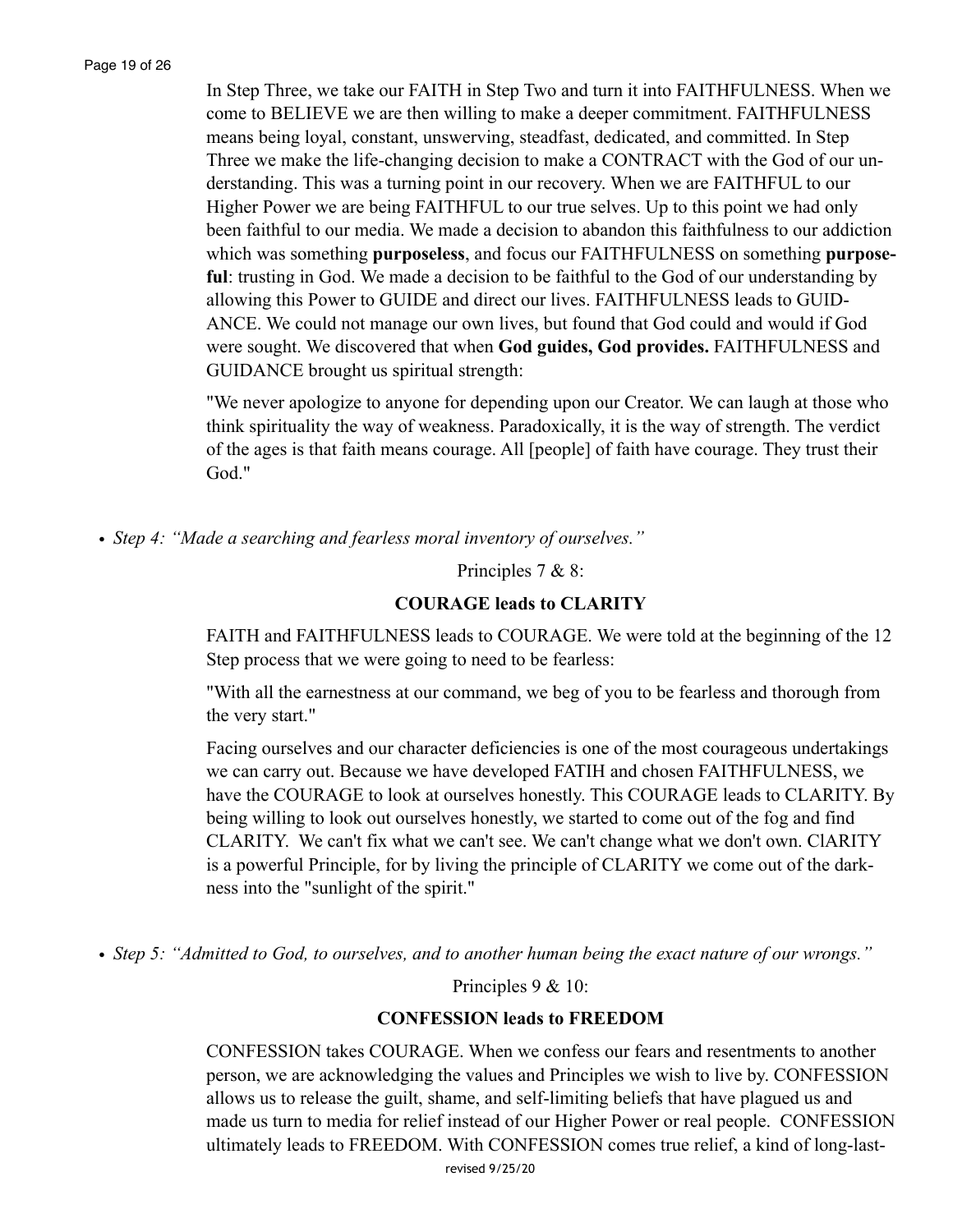Page 19 of 26

In Step Three, we take our FAITH in Step Two and turn it into FAITHFULNESS. When we come to BELIEVE we are then willing to make a deeper commitment. FAITHFULNESS means being loyal, constant, unswerving, steadfast, dedicated, and committed. In Step Three we make the life-changing decision to make a CONTRACT with the God of our understanding. This was a turning point in our recovery. When we are FAITHFUL to our Higher Power we are being FAITHFUL to our true selves. Up to this point we had only been faithful to our media. We made a decision to abandon this faithfulness to our addiction which was something **purposeless**, and focus our FAITHFULNESS on something **purposeful**: trusting in God. We made a decision to be faithful to the God of our understanding by allowing this Power to GUIDE and direct our lives. FAITHFULNESS leads to GUID-ANCE. We could not manage our own lives, but found that God could and would if God were sought. We discovered that when **God guides, God provides.** FAITHFULNESS and GUIDANCE brought us spiritual strength:

"We never apologize to anyone for depending upon our Creator. We can laugh at those who think spirituality the way of weakness. Paradoxically, it is the way of strength. The verdict of the ages is that faith means courage. All [people] of faith have courage. They trust their God."

*• Step 4: "Made a searching and fearless moral inventory of ourselves."*

Principles 7 & 8:

## **COURAGE leads to CLARITY**

FAITH and FAITHFULNESS leads to COURAGE. We were told at the beginning of the 12 Step process that we were going to need to be fearless:

"With all the earnestness at our command, we beg of you to be fearless and thorough from the very start."

Facing ourselves and our character deficiencies is one of the most courageous undertakings we can carry out. Because we have developed FATIH and chosen FAITHFULNESS, we have the COURAGE to look at ourselves honestly. This COURAGE leads to CLARITY. By being willing to look out ourselves honestly, we started to come out of the fog and find CLARITY. We can't fix what we can't see. We can't change what we don't own. ClARITY is a powerful Principle, for by living the principle of CLARITY we come out of the darkness into the "sunlight of the spirit."

*• Step 5: "Admitted to God, to ourselves, and to another human being the exact nature of our wrongs."*

Principles 9 & 10:

#### **CONFESSION leads to FREEDOM**

CONFESSION takes COURAGE. When we confess our fears and resentments to another person, we are acknowledging the values and Principles we wish to live by. CONFESSION allows us to release the guilt, shame, and self-limiting beliefs that have plagued us and made us turn to media for relief instead of our Higher Power or real people. CONFESSION ultimately leads to FREEDOM. With CONFESSION comes true relief, a kind of long-last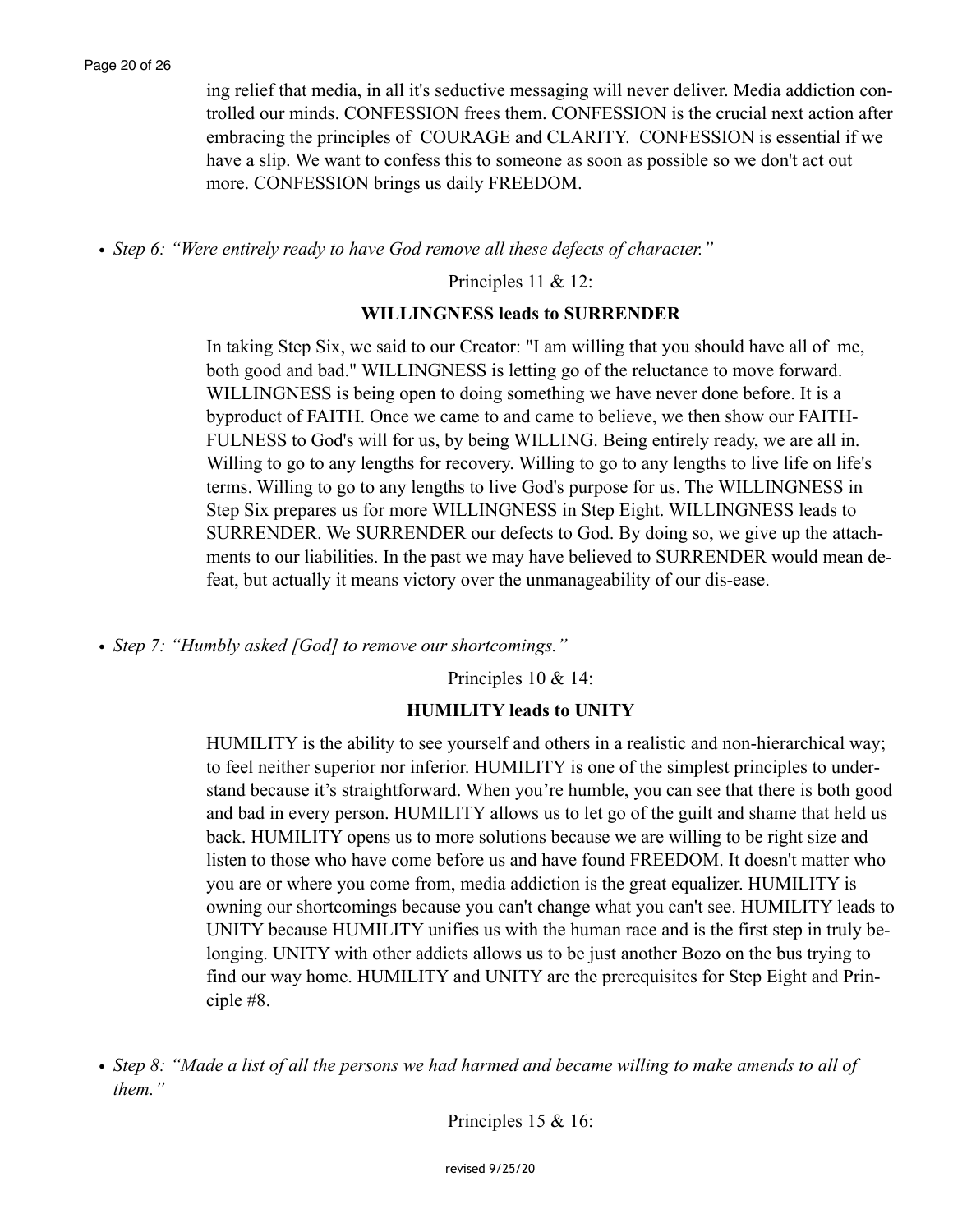ing relief that media, in all it's seductive messaging will never deliver. Media addiction controlled our minds. CONFESSION frees them. CONFESSION is the crucial next action after embracing the principles of COURAGE and CLARITY. CONFESSION is essential if we have a slip. We want to confess this to someone as soon as possible so we don't act out more. CONFESSION brings us daily FREEDOM.

*• Step 6: "Were entirely ready to have God remove all these defects of character."*

Principles 11 & 12:

#### **WILLINGNESS leads to SURRENDER**

In taking Step Six, we said to our Creator: "I am willing that you should have all of me, both good and bad." WILLINGNESS is letting go of the reluctance to move forward. WILLINGNESS is being open to doing something we have never done before. It is a byproduct of FAITH. Once we came to and came to believe, we then show our FAITH-FULNESS to God's will for us, by being WILLING. Being entirely ready, we are all in. Willing to go to any lengths for recovery. Willing to go to any lengths to live life on life's terms. Willing to go to any lengths to live God's purpose for us. The WILLINGNESS in Step Six prepares us for more WILLINGNESS in Step Eight. WILLINGNESS leads to SURRENDER. We SURRENDER our defects to God. By doing so, we give up the attachments to our liabilities. In the past we may have believed to SURRENDER would mean defeat, but actually it means victory over the unmanageability of our dis-ease.

*• Step 7: "Humbly asked [God] to remove our shortcomings."*

Principles 10 & 14:

#### **HUMILITY leads to UNITY**

HUMILITY is the ability to see yourself and others in a realistic and non-hierarchical way; to feel neither superior nor inferior. HUMILITY is one of the simplest principles to understand because it's straightforward. When you're humble, you can see that there is both good and bad in every person. HUMILITY allows us to let go of the guilt and shame that held us back. HUMILITY opens us to more solutions because we are willing to be right size and listen to those who have come before us and have found FREEDOM. It doesn't matter who you are or where you come from, media addiction is the great equalizer. HUMILITY is owning our shortcomings because you can't change what you can't see. HUMILITY leads to UNITY because HUMILITY unifies us with the human race and is the first step in truly belonging. UNITY with other addicts allows us to be just another Bozo on the bus trying to find our way home. HUMILITY and UNITY are the prerequisites for Step Eight and Principle #8.

Principles 15 & 16:

*<sup>•</sup> Step 8: "Made a list of all the persons we had harmed and became willing to make amends to all of them."*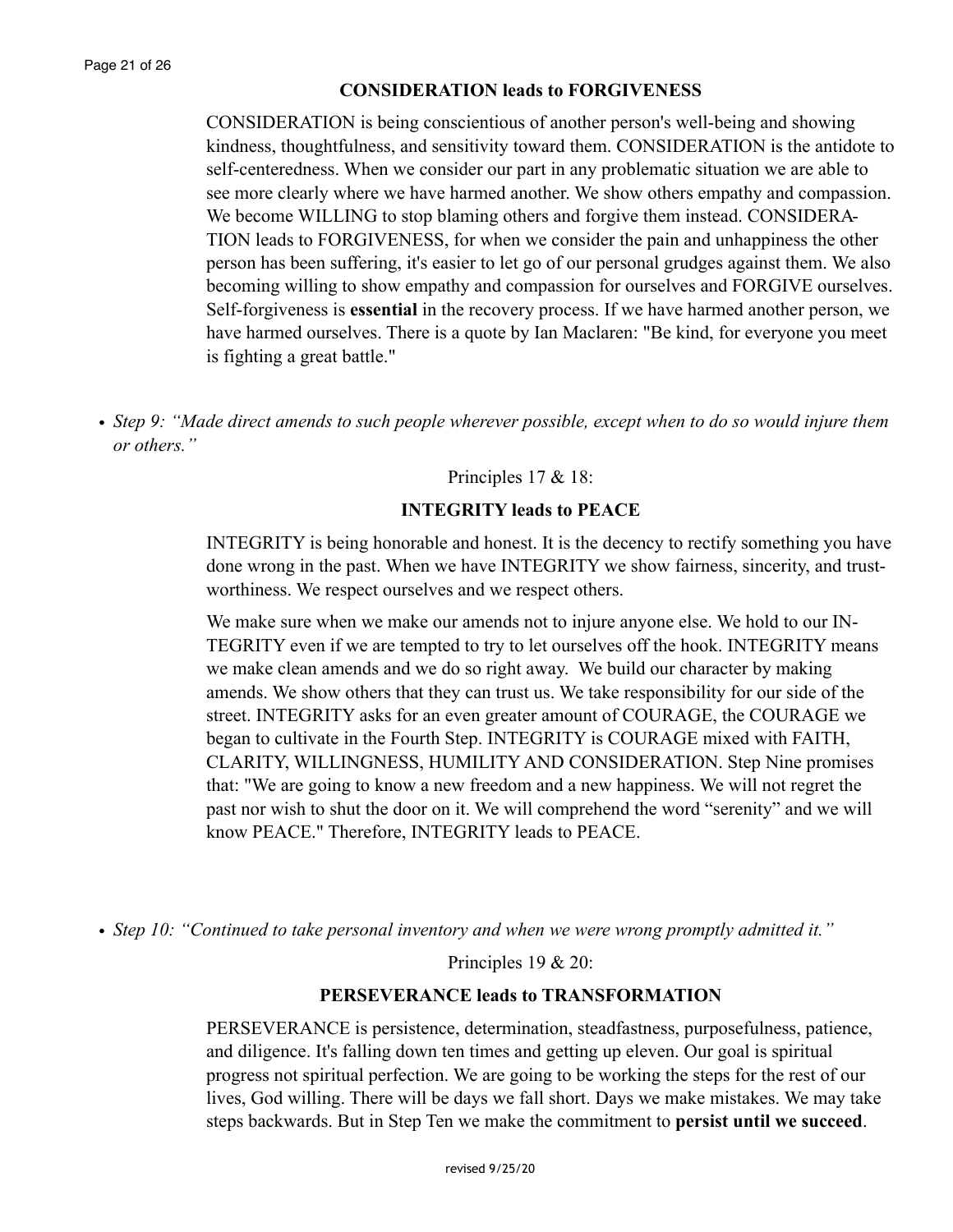#### **CONSIDERATION leads to FORGIVENESS**

CONSIDERATION is being conscientious of another person's well-being and showing kindness, thoughtfulness, and sensitivity toward them. CONSIDERATION is the antidote to self-centeredness. When we consider our part in any problematic situation we are able to see more clearly where we have harmed another. We show others empathy and compassion. We become WILLING to stop blaming others and forgive them instead. CONSIDERA-TION leads to FORGIVENESS, for when we consider the pain and unhappiness the other person has been suffering, it's easier to let go of our personal grudges against them. We also becoming willing to show empathy and compassion for ourselves and FORGIVE ourselves. Self-forgiveness is **essential** in the recovery process. If we have harmed another person, we have harmed ourselves. There is a quote by Ian Maclaren: "Be kind, for everyone you meet is fighting a great battle."

*• Step 9: "Made direct amends to such people wherever possible, except when to do so would injure them or others."*

Principles 17 & 18:

#### **INTEGRITY leads to PEACE**

INTEGRITY is being honorable and honest. It is the decency to rectify something you have done wrong in the past. When we have INTEGRITY we show fairness, sincerity, and trustworthiness. We respect ourselves and we respect others.

We make sure when we make our amends not to injure anyone else. We hold to our IN-TEGRITY even if we are tempted to try to let ourselves off the hook. INTEGRITY means we make clean amends and we do so right away. We build our character by making amends. We show others that they can trust us. We take responsibility for our side of the street. INTEGRITY asks for an even greater amount of COURAGE, the COURAGE we began to cultivate in the Fourth Step. INTEGRITY is COURAGE mixed with FAITH, CLARITY, WILLINGNESS, HUMILITY AND CONSIDERATION. Step Nine promises that: "We are going to know a new freedom and a new happiness. We will not regret the past nor wish to shut the door on it. We will comprehend the word "serenity" and we will know PEACE." Therefore, INTEGRITY leads to PEACE.

*• Step 10: "Continued to take personal inventory and when we were wrong promptly admitted it."* 

Principles 19 & 20:

#### **PERSEVERANCE leads to TRANSFORMATION**

PERSEVERANCE is persistence, determination, steadfastness, purposefulness, patience, and diligence. It's falling down ten times and getting up eleven. Our goal is spiritual progress not spiritual perfection. We are going to be working the steps for the rest of our lives, God willing. There will be days we fall short. Days we make mistakes. We may take steps backwards. But in Step Ten we make the commitment to **persist until we succeed**.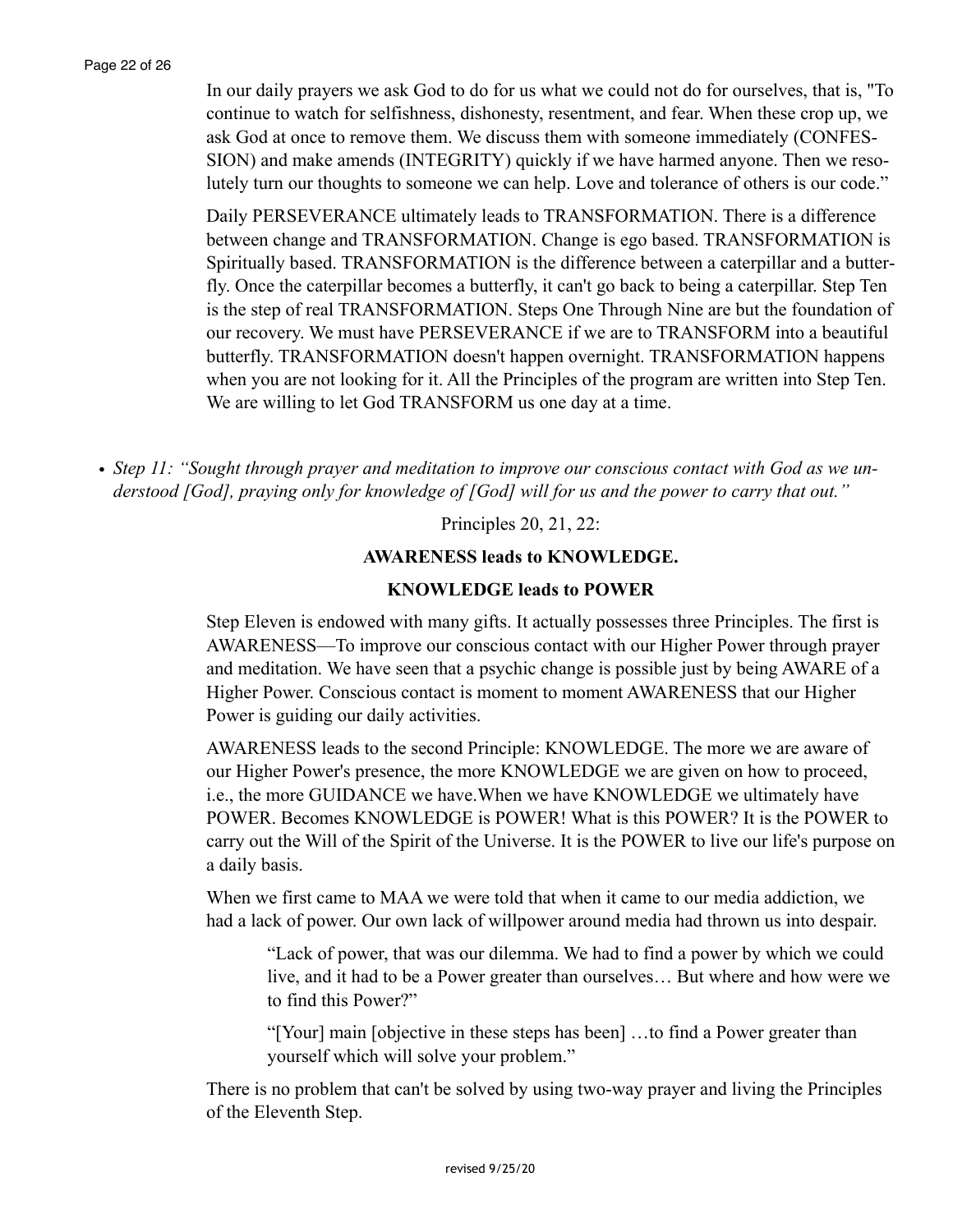In our daily prayers we ask God to do for us what we could not do for ourselves, that is, "To continue to watch for selfishness, dishonesty, resentment, and fear. When these crop up, we ask God at once to remove them. We discuss them with someone immediately (CONFES-SION) and make amends (INTEGRITY) quickly if we have harmed anyone. Then we resolutely turn our thoughts to someone we can help. Love and tolerance of others is our code."

Daily PERSEVERANCE ultimately leads to TRANSFORMATION. There is a difference between change and TRANSFORMATION. Change is ego based. TRANSFORMATION is Spiritually based. TRANSFORMATION is the difference between a caterpillar and a butterfly. Once the caterpillar becomes a butterfly, it can't go back to being a caterpillar. Step Ten is the step of real TRANSFORMATION. Steps One Through Nine are but the foundation of our recovery. We must have PERSEVERANCE if we are to TRANSFORM into a beautiful butterfly. TRANSFORMATION doesn't happen overnight. TRANSFORMATION happens when you are not looking for it. All the Principles of the program are written into Step Ten. We are willing to let God TRANSFORM us one day at a time.

*• Step 11: "Sought through prayer and meditation to improve our conscious contact with God as we understood [God], praying only for knowledge of [God] will for us and the power to carry that out."*

Principles 20, 21, 22:

#### **AWARENESS leads to KNOWLEDGE.**

#### **KNOWLEDGE leads to POWER**

Step Eleven is endowed with many gifts. It actually possesses three Principles. The first is AWARENESS—To improve our conscious contact with our Higher Power through prayer and meditation. We have seen that a psychic change is possible just by being AWARE of a Higher Power. Conscious contact is moment to moment AWARENESS that our Higher Power is guiding our daily activities.

AWARENESS leads to the second Principle: KNOWLEDGE. The more we are aware of our Higher Power's presence, the more KNOWLEDGE we are given on how to proceed, i.e., the more GUIDANCE we have.When we have KNOWLEDGE we ultimately have POWER. Becomes KNOWLEDGE is POWER! What is this POWER? It is the POWER to carry out the Will of the Spirit of the Universe. It is the POWER to live our life's purpose on a daily basis.

When we first came to MAA we were told that when it came to our media addiction, we had a lack of power. Our own lack of willpower around media had thrown us into despair.

"Lack of power, that was our dilemma. We had to find a power by which we could live, and it had to be a Power greater than ourselves… But where and how were we to find this Power?"

"[Your] main [objective in these steps has been] …to find a Power greater than yourself which will solve your problem."

There is no problem that can't be solved by using two-way prayer and living the Principles of the Eleventh Step.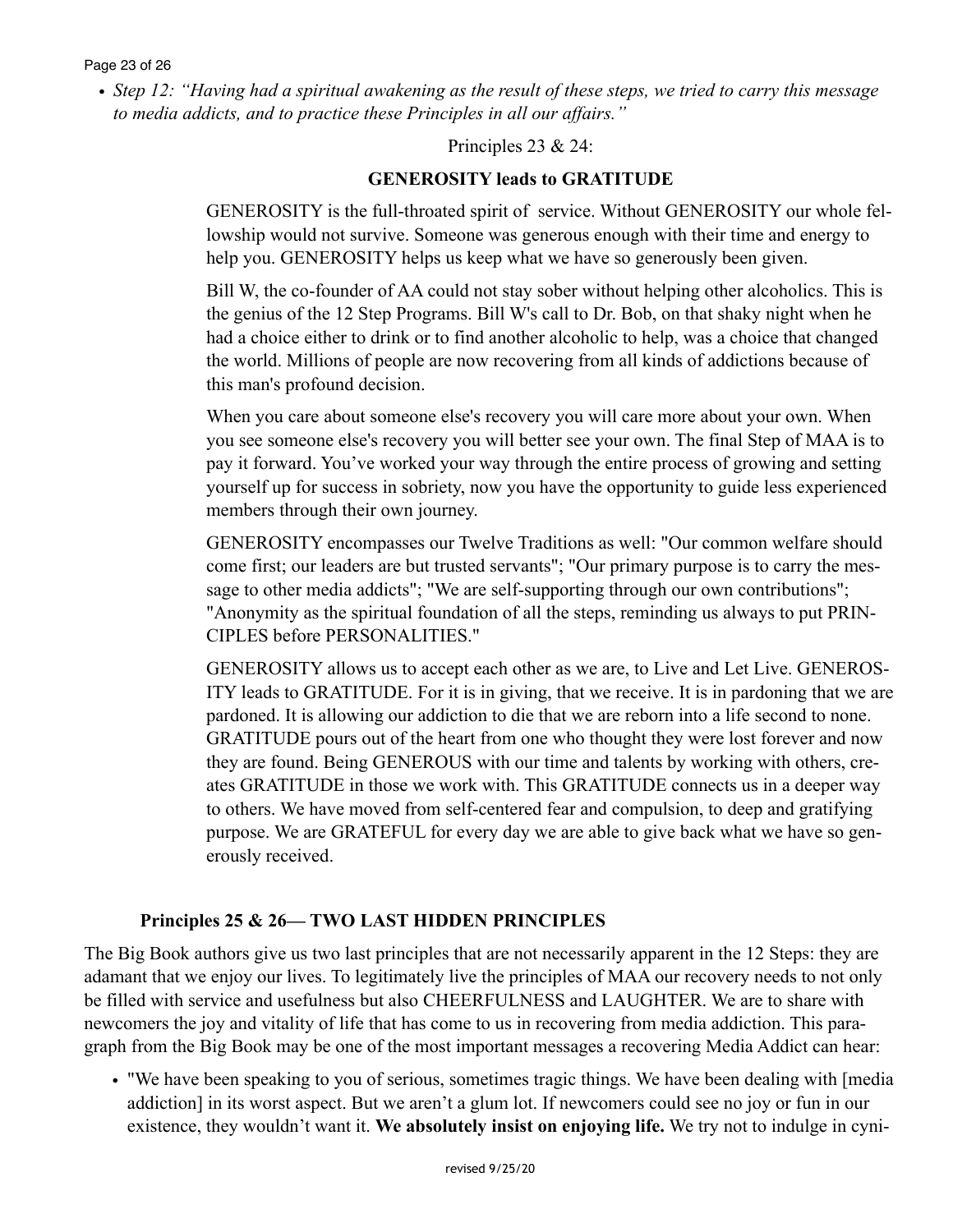*• Step 12: "Having had a spiritual awakening as the result of these steps, we tried to carry this message to media addicts, and to practice these Principles in all our affairs."*

Principles 23 & 24:

## **GENEROSITY leads to GRATITUDE**

GENEROSITY is the full-throated spirit of service. Without GENEROSITY our whole fellowship would not survive. Someone was generous enough with their time and energy to help you. GENEROSITY helps us keep what we have so generously been given.

Bill W, the co-founder of AA could not stay sober without helping other alcoholics. This is the genius of the 12 Step Programs. Bill W's call to Dr. Bob, on that shaky night when he had a choice either to drink or to find another alcoholic to help, was a choice that changed the world. Millions of people are now recovering from all kinds of addictions because of this man's profound decision.

When you care about someone else's recovery you will care more about your own. When you see someone else's recovery you will better see your own. The final Step of MAA is to pay it forward. You've worked your way through the entire process of growing and setting yourself up for success in sobriety, now you have the opportunity to guide less experienced members through their own journey.

GENEROSITY encompasses our Twelve Traditions as well: "Our common welfare should come first; our leaders are but trusted servants"; "Our primary purpose is to carry the message to other media addicts"; "We are self-supporting through our own contributions"; "Anonymity as the spiritual foundation of all the steps, reminding us always to put PRIN-CIPLES before PERSONALITIES."

GENEROSITY allows us to accept each other as we are, to Live and Let Live. GENEROS-ITY leads to GRATITUDE. For it is in giving, that we receive. It is in pardoning that we are pardoned. It is allowing our addiction to die that we are reborn into a life second to none. GRATITUDE pours out of the heart from one who thought they were lost forever and now they are found. Being GENEROUS with our time and talents by working with others, creates GRATITUDE in those we work with. This GRATITUDE connects us in a deeper way to others. We have moved from self-centered fear and compulsion, to deep and gratifying purpose. We are GRATEFUL for every day we are able to give back what we have so generously received.

# **Principles 25 & 26— TWO LAST HIDDEN PRINCIPLES**

The Big Book authors give us two last principles that are not necessarily apparent in the 12 Steps: they are adamant that we enjoy our lives. To legitimately live the principles of MAA our recovery needs to not only be filled with service and usefulness but also CHEERFULNESS and LAUGHTER. We are to share with newcomers the joy and vitality of life that has come to us in recovering from media addiction. This paragraph from the Big Book may be one of the most important messages a recovering Media Addict can hear:

• "We have been speaking to you of serious, sometimes tragic things. We have been dealing with [media addiction] in its worst aspect. But we aren't a glum lot. If newcomers could see no joy or fun in our existence, they wouldn't want it. **We absolutely insist on enjoying life.** We try not to indulge in cyni-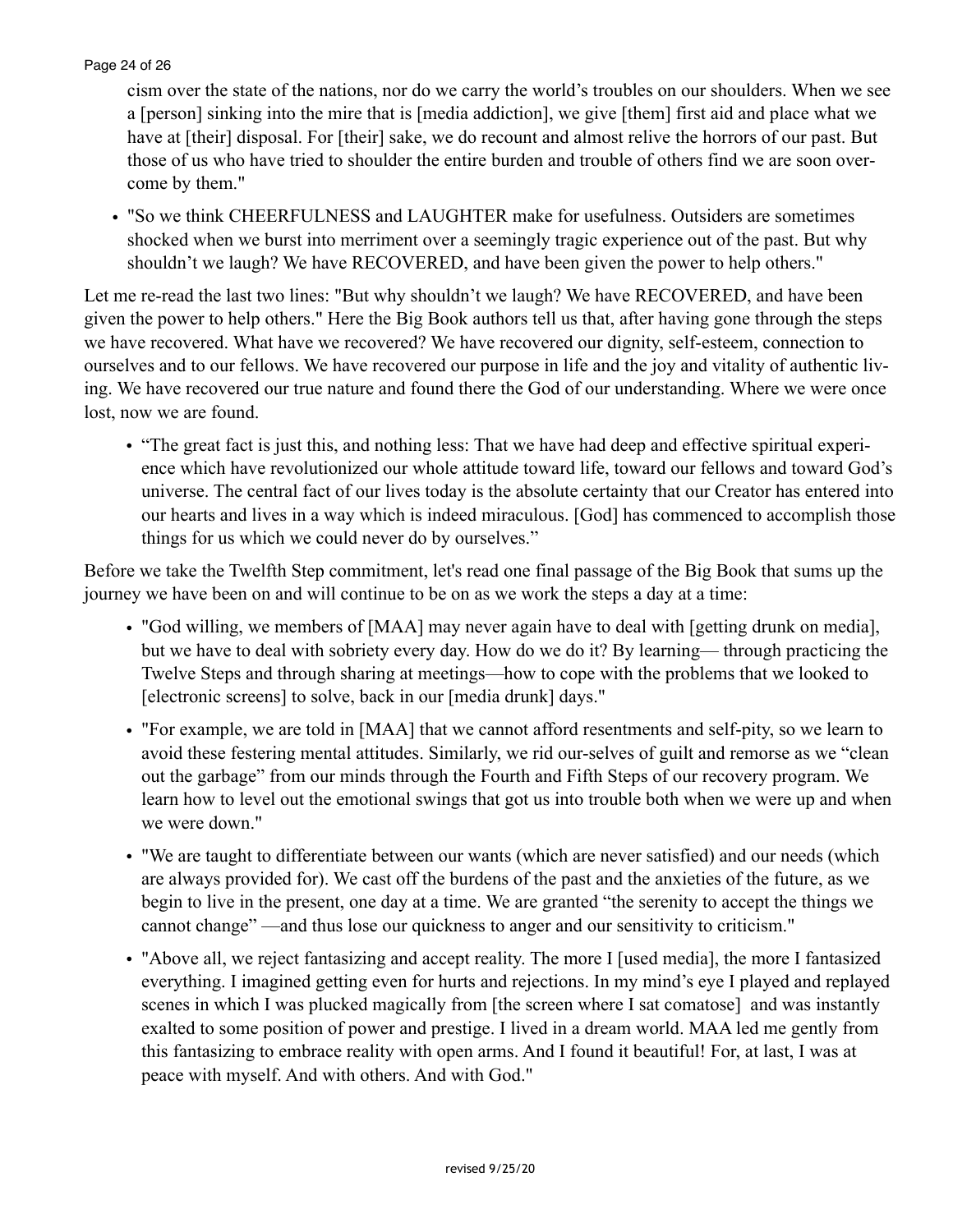#### Page 24 of 26

cism over the state of the nations, nor do we carry the world's troubles on our shoulders. When we see a [person] sinking into the mire that is [media addiction], we give [them] first aid and place what we have at [their] disposal. For [their] sake, we do recount and almost relive the horrors of our past. But those of us who have tried to shoulder the entire burden and trouble of others find we are soon overcome by them."

• "So we think CHEERFULNESS and LAUGHTER make for usefulness. Outsiders are sometimes shocked when we burst into merriment over a seemingly tragic experience out of the past. But why shouldn't we laugh? We have RECOVERED, and have been given the power to help others."

Let me re-read the last two lines: "But why shouldn't we laugh? We have RECOVERED, and have been given the power to help others." Here the Big Book authors tell us that, after having gone through the steps we have recovered. What have we recovered? We have recovered our dignity, self-esteem, connection to ourselves and to our fellows. We have recovered our purpose in life and the joy and vitality of authentic living. We have recovered our true nature and found there the God of our understanding. Where we were once lost, now we are found.

• "The great fact is just this, and nothing less: That we have had deep and effective spiritual experience which have revolutionized our whole attitude toward life, toward our fellows and toward God's universe. The central fact of our lives today is the absolute certainty that our Creator has entered into our hearts and lives in a way which is indeed miraculous. [God] has commenced to accomplish those things for us which we could never do by ourselves."

Before we take the Twelfth Step commitment, let's read one final passage of the Big Book that sums up the journey we have been on and will continue to be on as we work the steps a day at a time:

- "God willing, we members of [MAA] may never again have to deal with [getting drunk on media], but we have to deal with sobriety every day. How do we do it? By learning— through practicing the Twelve Steps and through sharing at meetings—how to cope with the problems that we looked to [electronic screens] to solve, back in our [media drunk] days."
- "For example, we are told in [MAA] that we cannot afford resentments and self-pity, so we learn to avoid these festering mental attitudes. Similarly, we rid our-selves of guilt and remorse as we "clean out the garbage" from our minds through the Fourth and Fifth Steps of our recovery program. We learn how to level out the emotional swings that got us into trouble both when we were up and when we were down."
- "We are taught to differentiate between our wants (which are never satisfied) and our needs (which are always provided for). We cast off the burdens of the past and the anxieties of the future, as we begin to live in the present, one day at a time. We are granted "the serenity to accept the things we cannot change" —and thus lose our quickness to anger and our sensitivity to criticism."
- "Above all, we reject fantasizing and accept reality. The more I [used media], the more I fantasized everything. I imagined getting even for hurts and rejections. In my mind's eye I played and replayed scenes in which I was plucked magically from [the screen where I sat comatose] and was instantly exalted to some position of power and prestige. I lived in a dream world. MAA led me gently from this fantasizing to embrace reality with open arms. And I found it beautiful! For, at last, I was at peace with myself. And with others. And with God."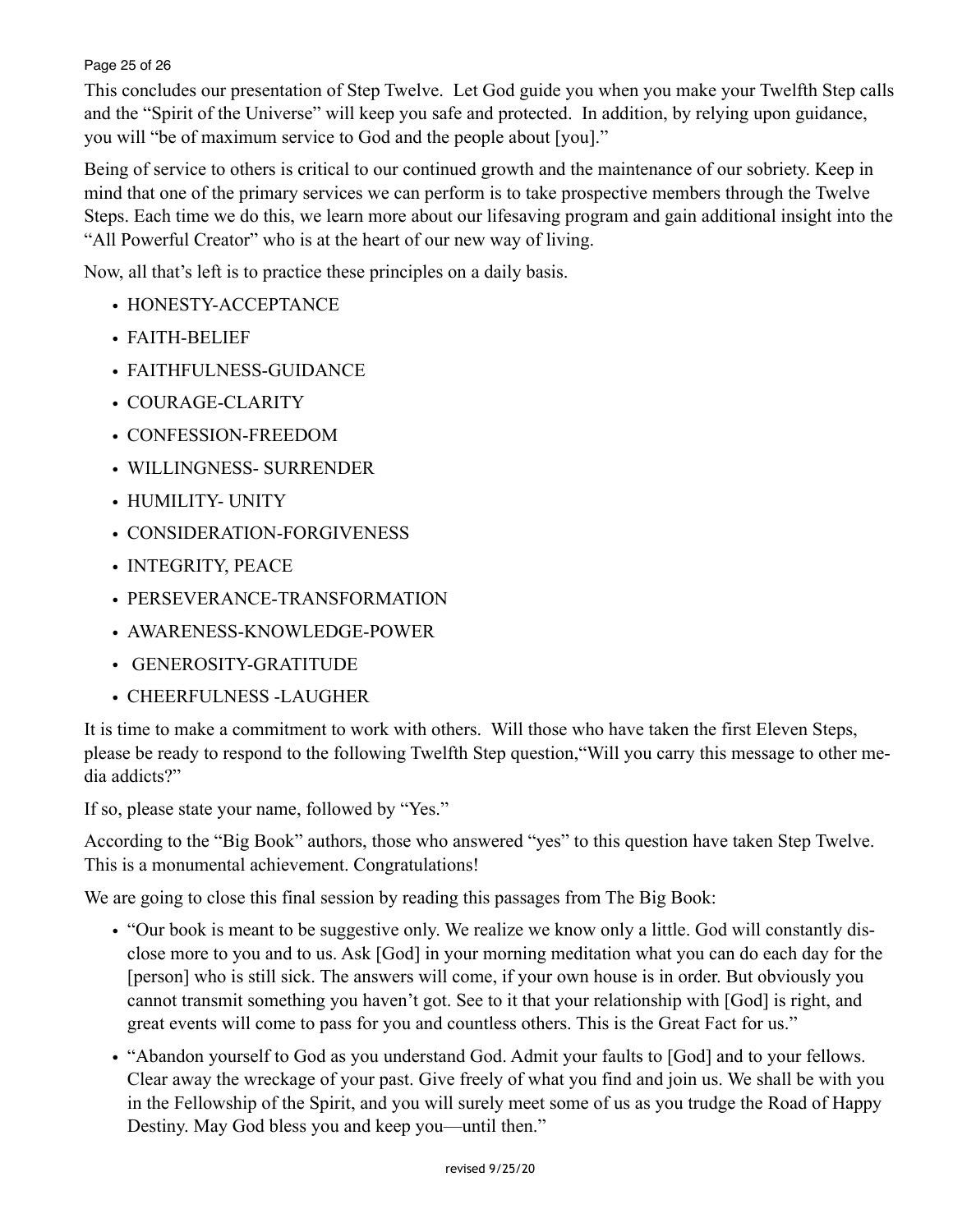#### Page 25 of 26

This concludes our presentation of Step Twelve. Let God guide you when you make your Twelfth Step calls and the "Spirit of the Universe" will keep you safe and protected. In addition, by relying upon guidance, you will "be of maximum service to God and the people about [you]."

Being of service to others is critical to our continued growth and the maintenance of our sobriety. Keep in mind that one of the primary services we can perform is to take prospective members through the Twelve Steps. Each time we do this, we learn more about our lifesaving program and gain additional insight into the "All Powerful Creator" who is at the heart of our new way of living.

Now, all that's left is to practice these principles on a daily basis.

- HONESTY-ACCEPTANCE
- FAITH-BELIEF
- FAITHFULNESS-GUIDANCE
- COURAGE-CLARITY
- CONFESSION-FREEDOM
- WILLINGNESS- SURRENDER
- HUMILITY- UNITY
- CONSIDERATION-FORGIVENESS
- INTEGRITY, PEACE
- PERSEVERANCE-TRANSFORMATION
- AWARENESS-KNOWLEDGE-POWER
- GENEROSITY-GRATITUDE
- CHEERFULNESS -LAUGHER

It is time to make a commitment to work with others. Will those who have taken the first Eleven Steps, please be ready to respond to the following Twelfth Step question,"Will you carry this message to other media addicts?"

If so, please state your name, followed by "Yes."

According to the "Big Book" authors, those who answered "yes" to this question have taken Step Twelve. This is a monumental achievement. Congratulations!

We are going to close this final session by reading this passages from The Big Book:

- "Our book is meant to be suggestive only. We realize we know only a little. God will constantly disclose more to you and to us. Ask [God] in your morning meditation what you can do each day for the [person] who is still sick. The answers will come, if your own house is in order. But obviously you cannot transmit something you haven't got. See to it that your relationship with [God] is right, and great events will come to pass for you and countless others. This is the Great Fact for us."
- "Abandon yourself to God as you understand God. Admit your faults to [God] and to your fellows. Clear away the wreckage of your past. Give freely of what you find and join us. We shall be with you in the Fellowship of the Spirit, and you will surely meet some of us as you trudge the Road of Happy Destiny. May God bless you and keep you—until then."